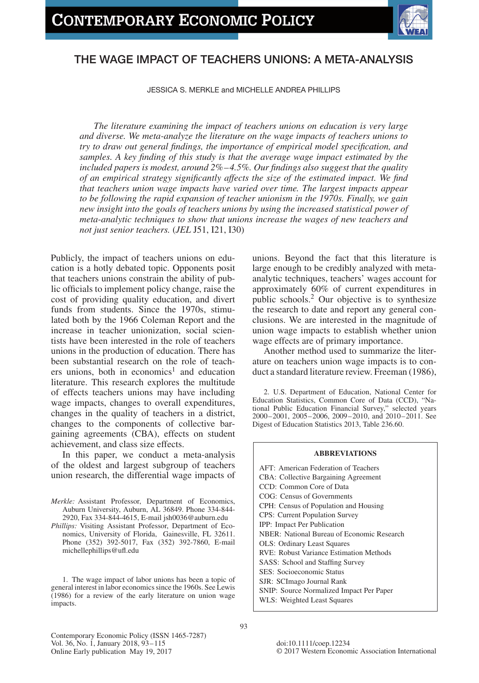# **CONTEMPORARY ECONOMIC POLICY**



# **THE WAGE IMPACT OF TEACHERS UNIONS: A META-ANALYSIS**

JESSICA S. MERKLE and MICHELLE ANDREA PHILLIPS

*The literature examining the impact of teachers unions on education is very large and diverse. We meta-analyze the literature on the wage impacts of teachers unions to try to draw out general findings, the importance of empirical model specification, and samples. A key finding of this study is that the average wage impact estimated by the included papers is modest, around 2%–4.5%. Our findings also suggest that the quality of an empirical strategy significantly affects the size of the estimated impact. We find that teachers union wage impacts have varied over time. The largest impacts appear to be following the rapid expansion of teacher unionism in the 1970s. Finally, we gain new insight into the goals of teachers unions by using the increased statistical power of meta-analytic techniques to show that unions increase the wages of new teachers and not just senior teachers.* (*JEL* J51, I21, I30)

Publicly, the impact of teachers unions on education is a hotly debated topic. Opponents posit that teachers unions constrain the ability of public officials to implement policy change, raise the cost of providing quality education, and divert funds from students. Since the 1970s, stimulated both by the 1966 Coleman Report and the increase in teacher unionization, social scientists have been interested in the role of teachers unions in the production of education. There has been substantial research on the role of teachers unions, both in economics<sup>1</sup> and education literature. This research explores the multitude of effects teachers unions may have including wage impacts, changes to overall expenditures, changes in the quality of teachers in a district, changes to the components of collective bargaining agreements (CBA), effects on student achievement, and class size effects.

In this paper, we conduct a meta-analysis of the oldest and largest subgroup of teachers union research, the differential wage impacts of

*Merkle:* Assistant Professor, Department of Economics, Auburn University, Auburn, AL 36849. Phone 334-844- 2920, Fax 334-844-4615, E-mail jsh0036@auburn.edu

*Phillips:* Visiting Assistant Professor, Department of Economics, University of Florida, Gainesville, FL 32611. Phone (352) 392-5017, Fax (352) 392-7860, E-mail michellephillips@ufl.edu

<span id="page-0-0"></span>1. The wage impact of labor unions has been a topic of general interest in labor economics since the 1960s. See Lewis (1986) for a review of the early literature on union wage impacts.

unions. Beyond the fact that this literature is large enough to be credibly analyzed with metaanalytic techniques, teachers' wages account for approximately 60% of current expenditures in public schools[.2](#page-0-1) Our objective is to synthesize the research to date and report any general conclusions. We are interested in the magnitude of union wage impacts to establish whether union wage effects are of primary importance.

Another method used to summarize the literature on teachers union wage impacts is to conduct a standard literature review. Freeman (1986),

<span id="page-0-1"></span>2. U.S. Department of Education, National Center for Education Statistics, Common Core of Data (CCD), "National Public Education Financial Survey," selected years 2000–2001, 2005–2006, 2009–2010, and 2010–2011. See Digest of Education Statistics 2013, Table 236.60.

#### **ABBREVIATIONS**

| AFT: American Federation of Teachers       |
|--------------------------------------------|
| CBA: Collective Bargaining Agreement       |
| CCD: Common Core of Data                   |
| COG: Census of Governments                 |
| CPH: Census of Population and Housing      |
| <b>CPS:</b> Current Population Survey      |
| IPP: Impact Per Publication                |
| NBER: National Bureau of Economic Research |
| <b>OLS: Ordinary Least Squares</b>         |
| RVE: Robust Variance Estimation Methods    |
| SASS: School and Staffing Survey           |
| SES: Socioeconomic Status                  |
| SJR: SCImago Journal Rank                  |
| SNIP: Source Normalized Impact Per Paper   |
| WLS: Weighted Least Squares                |
|                                            |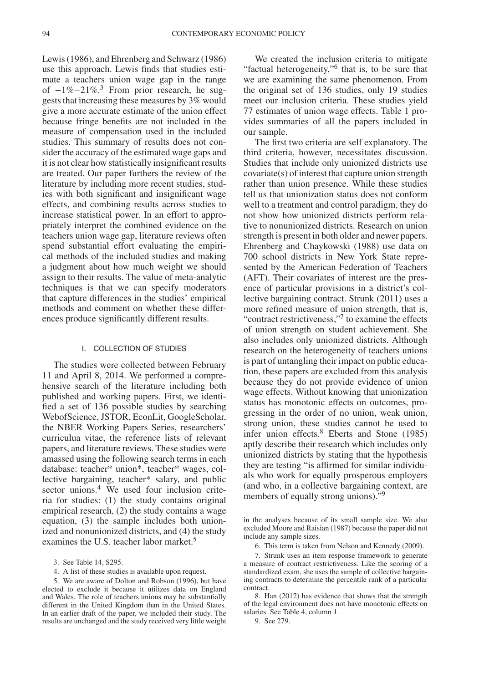Lewis (1986), and Ehrenberg and Schwarz (1986) use this approach. Lewis finds that studies estimate a teachers union wage gap in the range of  $-1\% -21\%$ <sup>[3](#page-1-0)</sup>. From prior research, he suggests that increasing these measures by 3% would give a more accurate estimate of the union effect because fringe benefits are not included in the measure of compensation used in the included studies. This summary of results does not consider the accuracy of the estimated wage gaps and it is not clear how statistically insignificant results are treated. Our paper furthers the review of the literature by including more recent studies, studies with both significant and insignificant wage effects, and combining results across studies to increase statistical power. In an effort to appropriately interpret the combined evidence on the teachers union wage gap, literature reviews often spend substantial effort evaluating the empirical methods of the included studies and making a judgment about how much weight we should assign to their results. The value of meta-analytic techniques is that we can specify moderators that capture differences in the studies' empirical methods and comment on whether these differences produce significantly different results.

### I. COLLECTION OF STUDIES

The studies were collected between February 11 and April 8, 2014. We performed a comprehensive search of the literature including both published and working papers. First, we identified a set of 136 possible studies by searching WebofScience, JSTOR, EconLit, GoogleScholar, the NBER Working Papers Series, researchers' curriculua vitae, the reference lists of relevant papers, and literature reviews. These studies were amassed using the following search terms in each database: teacher\* union\*, teacher\* wages, collective bargaining, teacher\* salary, and public sector unions.<sup>[4](#page-1-1)</sup> We used four inclusion criteria for studies: (1) the study contains original empirical research, (2) the study contains a wage equation, (3) the sample includes both unionized and nonunionized districts, and (4) the study examines the U.S. teacher labor market.<sup>5</sup>

- <span id="page-1-0"></span>3. See Table 14, S295.
- <span id="page-1-2"></span><span id="page-1-1"></span>4. A list of these studies is available upon request.

5. We are aware of Dolton and Robson (1996), but have elected to exclude it because it utilizes data on England and Wales. The role of teachers unions may be substantially different in the United Kingdom than in the United States. In an earlier draft of the paper, we included their study. The results are unchanged and the study received very little weight

We created the inclusion criteria to mitigate "factual heterogeneity,"<sup>6</sup> that is, to be sure that we are examining the same phenomenon. From the original set of 136 studies, only 19 studies meet our inclusion criteria. These studies yield 77 estimates of union wage effects. Table 1 provides summaries of all the papers included in our sample.

The first two criteria are self explanatory. The third criteria, however, necessitates discussion. Studies that include only unionized districts use covariate(s) of interest that capture union strength rather than union presence. While these studies tell us that unionization status does not conform well to a treatment and control paradigm, they do not show how unionized districts perform relative to nonunionized districts. Research on union strength is present in both older and newer papers. Ehrenberg and Chaykowski (1988) use data on 700 school districts in New York State represented by the American Federation of Teachers (AFT). Their covariates of interest are the presence of particular provisions in a district's collective bargaining contract. Strunk (2011) uses a more refined measure of union strength, that is, "contract restrictiveness,"[7](#page-1-4) to examine the effects of union strength on student achievement. She also includes only unionized districts. Although research on the heterogeneity of teachers unions is part of untangling their impact on public education, these papers are excluded from this analysis because they do not provide evidence of union wage effects. Without knowing that unionization status has monotonic effects on outcomes, progressing in the order of no union, weak union, strong union, these studies cannot be used to infer union effects[.8](#page-1-5) Eberts and Stone (1985) aptly describe their research which includes only unionized districts by stating that the hypothesis they are testing "is affirmed for similar individuals who work for equally prosperous employers (and who, in a collective bargaining context, are members of equally strong unions)."<sup>9</sup>

<span id="page-1-4"></span><span id="page-1-3"></span>6. This term is taken from Nelson and Kennedy (2009).

<span id="page-1-6"></span>9. See 279.

in the analyses because of its small sample size. We also excluded Moore and Raisian (1987) because the paper did not include any sample sizes.

<sup>7.</sup> Strunk uses an item response framework to generate a measure of contract restrictiveness. Like the scoring of a standardized exam, she uses the sample of collective bargaining contracts to determine the percentile rank of a particular contract.

<span id="page-1-5"></span><sup>8.</sup> Han (2012) has evidence that shows that the strength of the legal environment does not have monotonic effects on salaries. See Table 4, column 1.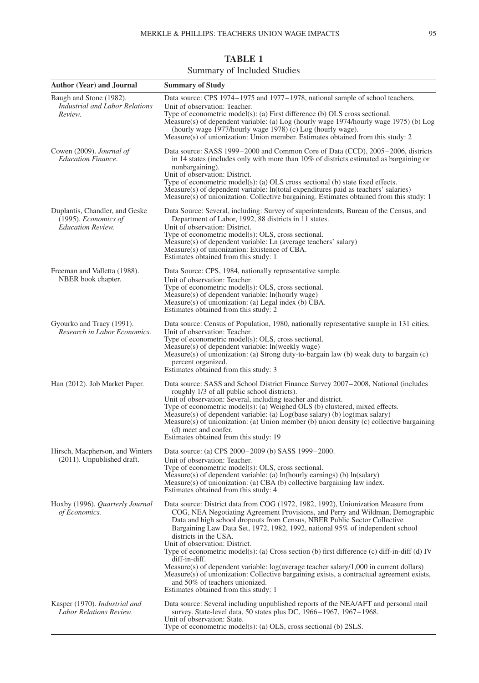| <b>Author (Year) and Journal</b>                                                      | <b>Summary of Study</b>                                                                                                                                                                                                                                                                                                                                                                                                                                                                                                                                                                                                                                                                                                                                                         |
|---------------------------------------------------------------------------------------|---------------------------------------------------------------------------------------------------------------------------------------------------------------------------------------------------------------------------------------------------------------------------------------------------------------------------------------------------------------------------------------------------------------------------------------------------------------------------------------------------------------------------------------------------------------------------------------------------------------------------------------------------------------------------------------------------------------------------------------------------------------------------------|
| Baugh and Stone (1982).<br>Industrial and Labor Relations<br>Review.                  | Data source: CPS 1974–1975 and 1977–1978, national sample of school teachers.<br>Unit of observation: Teacher.<br>Type of econometric model(s): (a) First difference (b) OLS cross sectional.<br>Measure(s) of dependent variable: (a) Log (hourly wage 1974/hourly wage 1975) (b) Log<br>(hourly wage 1977/hourly wage 1978) (c) Log (hourly wage).<br>Measure(s) of unionization: Union member. Estimates obtained from this study: 2                                                                                                                                                                                                                                                                                                                                         |
| Cowen (2009). Journal of<br><b>Education Finance.</b>                                 | Data source: SASS 1999–2000 and Common Core of Data (CCD), 2005–2006, districts<br>in 14 states (includes only with more than $10\%$ of districts estimated as bargaining or<br>nonbargaining).<br>Unit of observation: District.<br>Type of econometric model(s): (a) OLS cross sectional (b) state fixed effects.<br>Measure(s) of dependent variable: ln(total expenditures paid as teachers' salaries)<br>Measure(s) of unionization: Collective bargaining. Estimates obtained from this study: 1                                                                                                                                                                                                                                                                          |
| Duplantis, Chandler, and Geske<br>$(1995)$ . Economics of<br><b>Education Review.</b> | Data Source: Several, including: Survey of superintendents, Bureau of the Census, and<br>Department of Labor, 1992, 88 districts in 11 states.<br>Unit of observation: District.<br>Type of econometric model(s): OLS, cross sectional.<br>Measure(s) of dependent variable: Ln (average teachers' salary)<br>Measure(s) of unionization: Existence of CBA.<br>Estimates obtained from this study: 1                                                                                                                                                                                                                                                                                                                                                                            |
| Freeman and Valletta (1988).<br>NBER book chapter.                                    | Data Source: CPS, 1984, nationally representative sample.<br>Unit of observation: Teacher.<br>Type of econometric model(s): OLS, cross sectional.<br>Measure(s) of dependent variable: ln(hourly wage)<br>Measure(s) of unionization: (a) Legal index (b) $CBA$ .<br>Estimates obtained from this study: 2                                                                                                                                                                                                                                                                                                                                                                                                                                                                      |
| Gyourko and Tracy (1991).<br>Research in Labor Economics.                             | Data source: Census of Population, 1980, nationally representative sample in 131 cities.<br>Unit of observation: Teacher.<br>Type of econometric model(s): OLS, cross sectional.<br>Measure(s) of dependent variable: ln(weekly wage)<br>Measure(s) of unionization: (a) Strong duty-to-bargain law (b) weak duty to bargain $(c)$<br>percent organized.<br>Estimates obtained from this study: 3                                                                                                                                                                                                                                                                                                                                                                               |
| Han (2012). Job Market Paper.                                                         | Data source: SASS and School District Finance Survey 2007–2008, National (includes<br>roughly 1/3 of all public school districts).<br>Unit of observation: Several, including teacher and district.<br>Type of econometric model(s): (a) Weighed OLS (b) clustered, mixed effects.<br>Measure(s) of dependent variable: (a) $Log(base$ salary) (b) $log(max$ salary)<br>Measure(s) of unionization: (a) Union member (b) union density (c) collective bargaining<br>(d) meet and confer.<br>Estimates obtained from this study: 19                                                                                                                                                                                                                                              |
| Hirsch, Macpherson, and Winters<br>$(2011)$ . Unpublished draft.                      | Data source: (a) CPS 2000–2009 (b) SASS 1999–2000.<br>Unit of observation: Teacher.<br>Type of econometric model(s): OLS, cross sectional.<br>Measure(s) of dependent variable: (a) ln(hourly earnings) (b) ln(salary)<br>Measure(s) of unionization: (a) CBA (b) collective bargaining law index.<br>Estimates obtained from this study: 4                                                                                                                                                                                                                                                                                                                                                                                                                                     |
| Hoxby (1996). Quarterly Journal<br>of Economics.                                      | Data source: District data from COG (1972, 1982, 1992), Unionization Measure from<br>COG, NEA Negotiating Agreement Provisions, and Perry and Wildman, Demographic<br>Data and high school dropouts from Census, NBER Public Sector Collective<br>Bargaining Law Data Set, 1972, 1982, 1992, national 95% of independent school<br>districts in the USA.<br>Unit of observation: District.<br>Type of econometric model(s): (a) Cross section (b) first difference (c) diff-in-diff (d) IV<br>diff-in-diff.<br>Measure(s) of dependent variable: $log(average teacher salary/1,000 in current dollars)$<br>Measure(s) of unionization: Collective bargaining exists, a contractual agreement exists,<br>and 50% of teachers unionized.<br>Estimates obtained from this study: 1 |
| Kasper (1970). Industrial and<br>Labor Relations Review.                              | Data source: Several including unpublished reports of the NEA/AFT and personal mail<br>survey. State-level data, 50 states plus DC, 1966–1967, 1967–1968.<br>Unit of observation: State.<br>Type of econometric model(s): (a) OLS, cross sectional (b) 2SLS.                                                                                                                                                                                                                                                                                                                                                                                                                                                                                                                    |

# **TABLE 1** Summary of Included Studies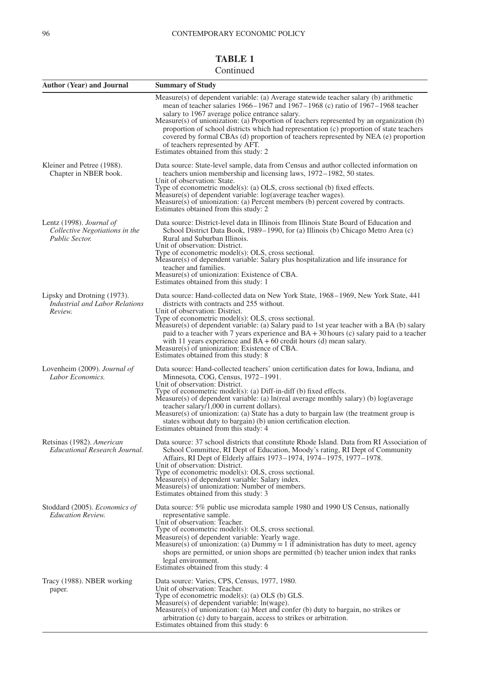# Continued

| <b>Author (Year) and Journal</b>                                                    | <b>Summary of Study</b>                                                                                                                                                                                                                                                                                                                                                                                                                                                                                                                                                                            |
|-------------------------------------------------------------------------------------|----------------------------------------------------------------------------------------------------------------------------------------------------------------------------------------------------------------------------------------------------------------------------------------------------------------------------------------------------------------------------------------------------------------------------------------------------------------------------------------------------------------------------------------------------------------------------------------------------|
|                                                                                     | Measure(s) of dependent variable: (a) Average statewide teacher salary (b) arithmetic<br>mean of teacher salaries $1966 - 1967$ and $1967 - 1968$ (c) ratio of $1967 - 1968$ teacher<br>salary to 1967 average police entrance salary.<br>Measure(s) of unionization: (a) Proportion of teachers represented by an organization (b)<br>proportion of school districts which had representation (c) proportion of state teachers<br>covered by formal CBAs (d) proportion of teachers represented by NEA (e) proportion<br>of teachers represented by AFT.<br>Estimates obtained from this study: 2 |
| Kleiner and Petree (1988).<br>Chapter in NBER book.                                 | Data source: State-level sample, data from Census and author collected information on<br>teachers union membership and licensing laws, 1972-1982, 50 states.<br>Unit of observation: State.<br>Type of econometric model(s): (a) OLS, cross sectional (b) fixed effects.<br>Measure(s) of dependent variable: log(average teacher wages).<br>Measure(s) of unionization: (a) Percent members (b) percent covered by contracts.<br>Estimates obtained from this study: 2                                                                                                                            |
| Lentz (1998). Journal of<br>Collective Negotiations in the<br><b>Public Sector.</b> | Data source: District-level data in Illinois from Illinois State Board of Education and<br>School District Data Book, 1989–1990, for (a) Illinois (b) Chicago Metro Area (c)<br>Rural and Suburban Illinois.<br>Unit of observation: District.<br>Type of econometric model(s): OLS, cross sectional.<br>Measure(s) of dependent variable: Salary plus hospitalization and life insurance for<br>teacher and families.<br>Measure(s) of unionization: Existence of CBA.<br>Estimates obtained from this study: 1                                                                                   |
| Lipsky and Drotning (1973).<br>Industrial and Labor Relations<br>Review.            | Data source: Hand-collected data on New York State, 1968–1969, New York State, 441<br>districts with contracts and 255 without.<br>Unit of observation: District.<br>Type of econometric model(s): OLS, cross sectional.<br>Measure(s) of dependent variable: (a) Salary paid to 1st year teacher with a BA (b) salary<br>paid to a teacher with 7 years experience and $BA + 30$ hours (c) salary paid to a teacher<br>with 11 years experience and $BA + 60$ credit hours (d) mean salary.<br>Measure(s) of unionization: Existence of CBA.<br>Estimates obtained from this study: 8             |
| Lovenheim (2009). Journal of<br>Labor Economics.                                    | Data source: Hand-collected teachers' union certification dates for Iowa, Indiana, and<br>Minnesota, COG, Census, 1972–1991.<br>Unit of observation: District.<br>Type of econometric model(s): (a) Diff-in-diff (b) fixed effects.<br>$M$ easure(s) of dependent variable: (a) ln(real average monthly salary) (b) log(average<br>teacher salary/1,000 in current dollars).<br>Measure(s) of unionization: (a) State has a duty to bargain law (the treatment group is<br>states without duty to bargain) (b) union certification election.<br>Estimates obtained from this study: 4              |
| Retsinas (1982). American<br>Educational Research Journal.                          | Data source: 37 school districts that constitute Rhode Island. Data from RI Association of<br>School Committee, RI Dept of Education, Moody's rating, RI Dept of Community<br>Affairs, RI Dept of Elderly affairs 1973–1974, 1974–1975, 1977–1978.<br>Unit of observation: District.<br>Type of econometric model(s): OLS, cross sectional.<br>Measure(s) of dependent variable: Salary index.<br>Measure(s) of unionization: Number of members.<br>Estimates obtained from this study: 3                                                                                                          |
| Stoddard (2005). Economics of<br><b>Education Review.</b>                           | Data source: 5% public use microdata sample 1980 and 1990 US Census, nationally<br>representative sample.<br>Unit of observation: Teacher.<br>Type of econometric model(s): OLS, cross sectional.<br>Measure(s) of dependent variable: Yearly wage.<br>Measure(s) of unionization: (a) Dummy = $1$ if administration has duty to meet, agency<br>shops are permitted, or union shops are permitted (b) teacher union index that ranks<br>legal environment.<br>Estimates obtained from this study: 4                                                                                               |
| Tracy (1988). NBER working<br>paper.                                                | Data source: Varies, CPS, Census, 1977, 1980.<br>Unit of observation: Teacher.<br>Type of econometric model(s): (a) OLS (b) GLS.<br>$M$ easure $(s)$ of dependent variable: $ln(wage)$ .<br>Measure(s) of unionization: (a) Meet and confer (b) duty to bargain, no strikes or<br>arbitration (c) duty to bargain, access to strikes or arbitration.<br>Estimates obtained from this study: 6                                                                                                                                                                                                      |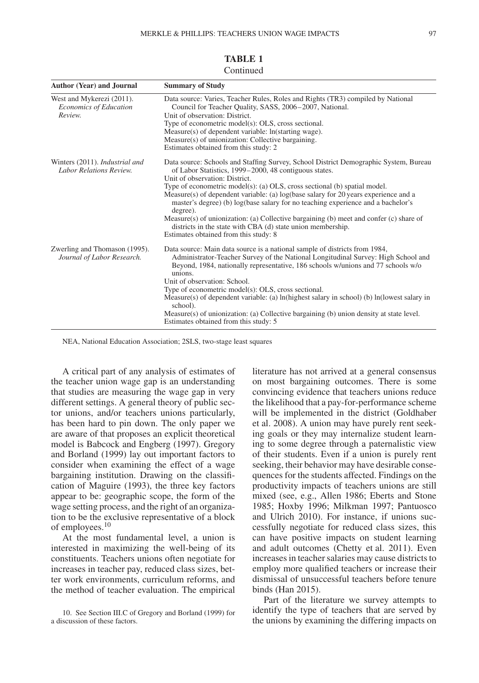| Author (Year) and Journal                                        | <b>Summary of Study</b>                                                                                                                                                                                                                                                                                                                                                                                                                                                                                                                                                                                                                                   |
|------------------------------------------------------------------|-----------------------------------------------------------------------------------------------------------------------------------------------------------------------------------------------------------------------------------------------------------------------------------------------------------------------------------------------------------------------------------------------------------------------------------------------------------------------------------------------------------------------------------------------------------------------------------------------------------------------------------------------------------|
| West and Mykerezi (2011).<br>Economics of Education<br>Review.   | Data source: Varies, Teacher Rules, Roles and Rights (TR3) compiled by National<br>Council for Teacher Quality, SASS, 2006–2007, National.<br>Unit of observation: District.<br>Type of econometric model(s): OLS, cross sectional.<br>Measure(s) of dependent variable: ln(starting wage).<br>Measure(s) of unionization: Collective bargaining.<br>Estimates obtained from this study: 2                                                                                                                                                                                                                                                                |
| Winters (2011). Industrial and<br><b>Labor Relations Review.</b> | Data source: Schools and Staffing Survey, School District Demographic System, Bureau<br>of Labor Statistics, 1999–2000, 48 contiguous states.<br>Unit of observation: District.<br>Type of econometric model(s): (a) OLS, cross sectional (b) spatial model.<br>Measure(s) of dependent variable: (a) $log(base$ salary for 20 years experience and a<br>master's degree) (b) log(base salary for no teaching experience and a bachelor's<br>degree).<br>Measure(s) of unionization: (a) Collective bargaining (b) meet and confer $(c)$ share of<br>districts in the state with CBA (d) state union membership.<br>Estimates obtained from this study: 8 |
| Zwerling and Thomason (1995).<br>Journal of Labor Research.      | Data source: Main data source is a national sample of districts from 1984,<br>Administrator-Teacher Survey of the National Longitudinal Survey: High School and<br>Beyond, 1984, nationally representative, 186 schools w/unions and 77 schools w/o<br>unions.<br>Unit of observation: School.<br>Type of econometric model(s): OLS, cross sectional.<br>Measure(s) of dependent variable: (a) $ln(highest salary in school)$ (b) $ln(lowest salary in$<br>school).<br>$Measure(s)$ of unionization: (a) Collective bargaining (b) union density at state level.<br>Estimates obtained from this study: 5                                                 |

# **TABLE 1**

## Continued

NEA, National Education Association; 2SLS, two-stage least squares

A critical part of any analysis of estimates of the teacher union wage gap is an understanding that studies are measuring the wage gap in very different settings. A general theory of public sector unions, and/or teachers unions particularly, has been hard to pin down. The only paper we are aware of that proposes an explicit theoretical model is Babcock and Engberg (1997). Gregory and Borland (1999) lay out important factors to consider when examining the effect of a wage bargaining institution. Drawing on the classification of Maguire (1993), the three key factors appear to be: geographic scope, the form of the wage setting process, and the right of an organization to be the exclusive representative of a block of employees[.10](#page-4-0)

At the most fundamental level, a union is interested in maximizing the well-being of its constituents. Teachers unions often negotiate for increases in teacher pay, reduced class sizes, better work environments, curriculum reforms, and the method of teacher evaluation. The empirical literature has not arrived at a general consensus on most bargaining outcomes. There is some convincing evidence that teachers unions reduce the likelihood that a pay-for-performance scheme will be implemented in the district (Goldhaber et al. 2008). A union may have purely rent seeking goals or they may internalize student learning to some degree through a paternalistic view of their students. Even if a union is purely rent seeking, their behavior may have desirable consequences for the students affected. Findings on the productivity impacts of teachers unions are still mixed (see, e.g., Allen 1986; Eberts and Stone 1985; Hoxby 1996; Milkman 1997; Pantuosco and Ulrich 2010). For instance, if unions successfully negotiate for reduced class sizes, this can have positive impacts on student learning and adult outcomes (Chetty et al. 2011). Even increases in teacher salaries may cause districts to employ more qualified teachers or increase their dismissal of unsuccessful teachers before tenure binds (Han 2015).

Part of the literature we survey attempts to identify the type of teachers that are served by the unions by examining the differing impacts on

<span id="page-4-0"></span><sup>10.</sup> See Section III.C of Gregory and Borland (1999) for a discussion of these factors.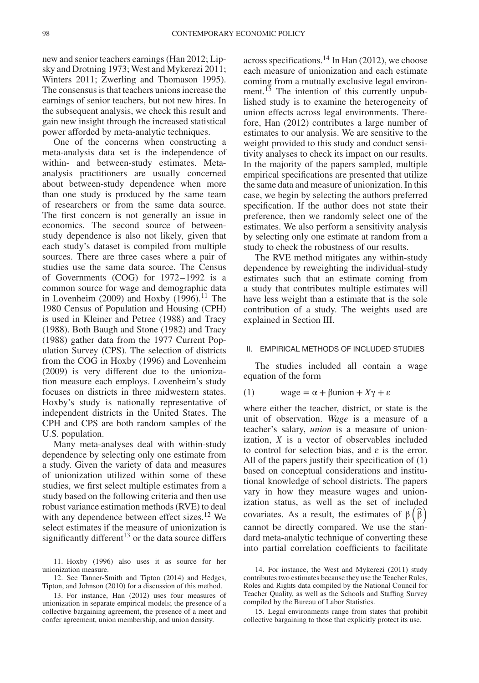new and senior teachers earnings (Han 2012; Lipsky and Drotning 1973; West and Mykerezi 2011; Winters 2011; Zwerling and Thomason 1995). The consensus is that teachers unions increase the earnings of senior teachers, but not new hires. In the subsequent analysis, we check this result and gain new insight through the increased statistical power afforded by meta-analytic techniques.

One of the concerns when constructing a meta-analysis data set is the independence of within- and between-study estimates. Metaanalysis practitioners are usually concerned about between-study dependence when more than one study is produced by the same team of researchers or from the same data source. The first concern is not generally an issue in economics. The second source of betweenstudy dependence is also not likely, given that each study's dataset is compiled from multiple sources. There are three cases where a pair of studies use the same data source. The Census of Governments (COG) for 1972–1992 is a common source for wage and demographic data in Lovenheim (2009) and Hoxby (1996).<sup>[11](#page-5-0)</sup> The 1980 Census of Population and Housing (CPH) is used in Kleiner and Petree (1988) and Tracy (1988). Both Baugh and Stone (1982) and Tracy (1988) gather data from the 1977 Current Population Survey (CPS). The selection of districts from the COG in Hoxby (1996) and Lovenheim (2009) is very different due to the unionization measure each employs. Lovenheim's study focuses on districts in three midwestern states. Hoxby's study is nationally representative of independent districts in the United States. The CPH and CPS are both random samples of the U.S. population.

Many meta-analyses deal with within-study dependence by selecting only one estimate from a study. Given the variety of data and measures of unionization utilized within some of these studies, we first select multiple estimates from a study based on the following criteria and then use robust variance estimation methods (RVE) to deal with any dependence between effect sizes.<sup>12</sup> We select estimates if the measure of unionization is significantly different<sup>13</sup> or the data source differs

<span id="page-5-0"></span>11. Hoxby (1996) also uses it as source for her unionization measure.

<span id="page-5-1"></span>12. See Tanner-Smith and Tipton (2014) and Hedges, Tipton, and Johnson (2010) for a discussion of this method.

<span id="page-5-2"></span>13. For instance, Han (2012) uses four measures of unionization in separate empirical models; the presence of a collective bargaining agreement, the presence of a meet and confer agreement, union membership, and union density.

across specifications.<sup>[14](#page-5-3)</sup> In Han (2012), we choose each measure of unionization and each estimate coming from a mutually exclusive legal environ-ment.<sup>[15](#page-5-4)</sup> The intention of this currently unpublished study is to examine the heterogeneity of union effects across legal environments. Therefore, Han (2012) contributes a large number of estimates to our analysis. We are sensitive to the weight provided to this study and conduct sensitivity analyses to check its impact on our results. In the majority of the papers sampled, multiple empirical specifications are presented that utilize the same data and measure of unionization. In this case, we begin by selecting the authors preferred specification. If the author does not state their preference, then we randomly select one of the estimates. We also perform a sensitivity analysis by selecting only one estimate at random from a study to check the robustness of our results.

The RVE method mitigates any within-study dependence by reweighting the individual-study estimates such that an estimate coming from a study that contributes multiple estimates will have less weight than a estimate that is the sole contribution of a study. The weights used are explained in Section III.

#### II. EMPIRICAL METHODS OF INCLUDED STUDIES

The studies included all contain a wage equation of the form

#### (1) wage =  $\alpha$  +  $\beta$ union +  $X\gamma$  +  $\varepsilon$

where either the teacher, district, or state is the unit of observation. *Wage* is a measure of a teacher's salary, *union* is a measure of unionization, *X* is a vector of observables included to control for selection bias, and ε is the error. All of the papers justify their specification of (1) based on conceptual considerations and institutional knowledge of school districts. The papers vary in how they measure wages and unionization status, as well as the set of included covariates. As a result, the estimates of  $\beta(\hat{\beta})$ cannot be directly compared. We use the standard meta-analytic technique of converting these into partial correlation coefficients to facilitate

<span id="page-5-3"></span><sup>14.</sup> For instance, the West and Mykerezi (2011) study contributes two estimates because they use the Teacher Rules, Roles and Rights data compiled by the National Council for Teacher Quality, as well as the Schools and Staffing Survey compiled by the Bureau of Labor Statistics.

<span id="page-5-4"></span><sup>15.</sup> Legal environments range from states that prohibit collective bargaining to those that explicitly protect its use.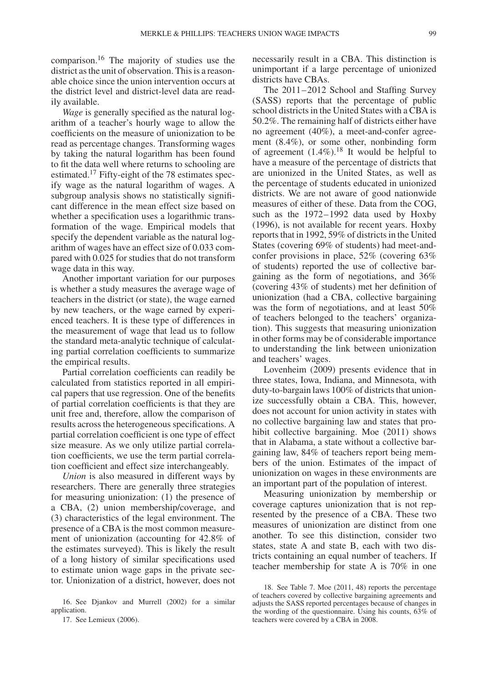comparison.[16](#page-6-0) The majority of studies use the district as the unit of observation. This is a reasonable choice since the union intervention occurs at the district level and district-level data are readily available.

*Wage* is generally specified as the natural logarithm of a teacher's hourly wage to allow the coefficients on the measure of unionization to be read as percentage changes. Transforming wages by taking the natural logarithm has been found to fit the data well where returns to schooling are estimated.<sup>[17](#page-6-1)</sup> Fifty-eight of the 78 estimates specify wage as the natural logarithm of wages. A subgroup analysis shows no statistically significant difference in the mean effect size based on whether a specification uses a logarithmic transformation of the wage. Empirical models that specify the dependent variable as the natural logarithm of wages have an effect size of 0.033 compared with 0.025 for studies that do not transform wage data in this way.

Another important variation for our purposes is whether a study measures the average wage of teachers in the district (or state), the wage earned by new teachers, or the wage earned by experienced teachers. It is these type of differences in the measurement of wage that lead us to follow the standard meta-analytic technique of calculating partial correlation coefficients to summarize the empirical results.

Partial correlation coefficients can readily be calculated from statistics reported in all empirical papers that use regression. One of the benefits of partial correlation coefficients is that they are unit free and, therefore, allow the comparison of results across the heterogeneous specifications. A partial correlation coefficient is one type of effect size measure. As we only utilize partial correlation coefficients, we use the term partial correlation coefficient and effect size interchangeably.

*Union* is also measured in different ways by researchers. There are generally three strategies for measuring unionization: (1) the presence of a CBA, (2) union membership/coverage, and (3) characteristics of the legal environment. The presence of a CBA is the most common measurement of unionization (accounting for 42.8% of the estimates surveyed). This is likely the result of a long history of similar specifications used to estimate union wage gaps in the private sector. Unionization of a district, however, does not necessarily result in a CBA. This distinction is unimportant if a large percentage of unionized districts have CBAs.

The 2011–2012 School and Staffing Survey (SASS) reports that the percentage of public school districts in the United States with a CBA is 50.2%. The remaining half of districts either have no agreement (40%), a meet-and-confer agreement (8.4%), or some other, nonbinding form of agreement  $(1.4\%)$ .<sup>[18](#page-6-2)</sup> It would be helpful to have a measure of the percentage of districts that are unionized in the United States, as well as the percentage of students educated in unionized districts. We are not aware of good nationwide measures of either of these. Data from the COG, such as the 1972–1992 data used by Hoxby (1996), is not available for recent years. Hoxby reports that in 1992, 59% of districts in the United States (covering 69% of students) had meet-andconfer provisions in place, 52% (covering 63% of students) reported the use of collective bargaining as the form of negotiations, and 36% (covering 43% of students) met her definition of unionization (had a CBA, collective bargaining was the form of negotiations, and at least 50% of teachers belonged to the teachers' organization). This suggests that measuring unionization in other forms may be of considerable importance to understanding the link between unionization and teachers' wages.

Lovenheim (2009) presents evidence that in three states, Iowa, Indiana, and Minnesota, with duty-to-bargain laws 100% of districts that unionize successfully obtain a CBA. This, however, does not account for union activity in states with no collective bargaining law and states that prohibit collective bargaining. Moe (2011) shows that in Alabama, a state without a collective bargaining law, 84% of teachers report being members of the union. Estimates of the impact of unionization on wages in these environments are an important part of the population of interest.

Measuring unionization by membership or coverage captures unionization that is not represented by the presence of a CBA. These two measures of unionization are distinct from one another. To see this distinction, consider two states, state A and state B, each with two districts containing an equal number of teachers. If teacher membership for state A is 70% in one

<sup>16.</sup> See Djankov and Murrell (2002) for a similar application.

<span id="page-6-1"></span><span id="page-6-0"></span><sup>17.</sup> See Lemieux (2006).

<span id="page-6-2"></span><sup>18.</sup> See Table 7. Moe (2011, 48) reports the percentage of teachers covered by collective bargaining agreements and adjusts the SASS reported percentages because of changes in the wording of the questionnaire. Using his counts, 63% of teachers were covered by a CBA in 2008.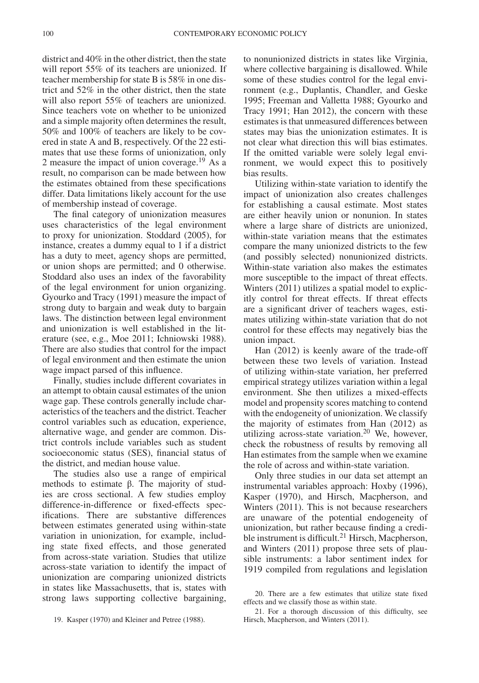district and 40% in the other district, then the state will report 55% of its teachers are unionized. If teacher membership for state B is 58% in one district and 52% in the other district, then the state will also report 55% of teachers are unionized. Since teachers vote on whether to be unionized and a simple majority often determines the result, 50% and 100% of teachers are likely to be covered in state A and B, respectively. Of the 22 estimates that use these forms of unionization, only 2 measure the impact of union coverage.<sup>[19](#page-7-0)</sup> As a result, no comparison can be made between how the estimates obtained from these specifications differ. Data limitations likely account for the use of membership instead of coverage.

The final category of unionization measures uses characteristics of the legal environment to proxy for unionization. Stoddard (2005), for instance, creates a dummy equal to 1 if a district has a duty to meet, agency shops are permitted, or union shops are permitted; and 0 otherwise. Stoddard also uses an index of the favorability of the legal environment for union organizing. Gyourko and Tracy (1991) measure the impact of strong duty to bargain and weak duty to bargain laws. The distinction between legal environment and unionization is well established in the literature (see, e.g., Moe 2011; Ichniowski 1988). There are also studies that control for the impact of legal environment and then estimate the union wage impact parsed of this influence.

Finally, studies include different covariates in an attempt to obtain causal estimates of the union wage gap. These controls generally include characteristics of the teachers and the district. Teacher control variables such as education, experience, alternative wage, and gender are common. District controls include variables such as student socioeconomic status (SES), financial status of the district, and median house value.

The studies also use a range of empirical methods to estimate β. The majority of studies are cross sectional. A few studies employ difference-in-difference or fixed-effects specifications. There are substantive differences between estimates generated using within-state variation in unionization, for example, including state fixed effects, and those generated from across-state variation. Studies that utilize across-state variation to identify the impact of unionization are comparing unionized districts in states like Massachusetts, that is, states with strong laws supporting collective bargaining,

to nonunionized districts in states like Virginia, where collective bargaining is disallowed. While some of these studies control for the legal environment (e.g., Duplantis, Chandler, and Geske 1995; Freeman and Valletta 1988; Gyourko and Tracy 1991; Han 2012), the concern with these estimates is that unmeasured differences between states may bias the unionization estimates. It is not clear what direction this will bias estimates. If the omitted variable were solely legal environment, we would expect this to positively bias results.

Utilizing within-state variation to identify the impact of unionization also creates challenges for establishing a causal estimate. Most states are either heavily union or nonunion. In states where a large share of districts are unionized, within-state variation means that the estimates compare the many unionized districts to the few (and possibly selected) nonunionized districts. Within-state variation also makes the estimates more susceptible to the impact of threat effects. Winters (2011) utilizes a spatial model to explicitly control for threat effects. If threat effects are a significant driver of teachers wages, estimates utilizing within-state variation that do not control for these effects may negatively bias the union impact.

Han (2012) is keenly aware of the trade-off between these two levels of variation. Instead of utilizing within-state variation, her preferred empirical strategy utilizes variation within a legal environment. She then utilizes a mixed-effects model and propensity scores matching to contend with the endogeneity of unionization. We classify the majority of estimates from Han (2012) as utilizing across-state variation.<sup>20</sup> We, however, check the robustness of results by removing all Han estimates from the sample when we examine the role of across and within-state variation.

Only three studies in our data set attempt an instrumental variables approach: Hoxby (1996), Kasper (1970), and Hirsch, Macpherson, and Winters (2011). This is not because researchers are unaware of the potential endogeneity of unionization, but rather because finding a credi-ble instrument is difficult.<sup>[21](#page-7-2)</sup> Hirsch, Macpherson, and Winters (2011) propose three sets of plausible instruments: a labor sentiment index for 1919 compiled from regulations and legislation

<span id="page-7-1"></span><sup>20.</sup> There are a few estimates that utilize state fixed effects and we classify those as within state.

<span id="page-7-2"></span><sup>21.</sup> For a thorough discussion of this difficulty, see Hirsch, Macpherson, and Winters (2011).

<span id="page-7-0"></span><sup>19.</sup> Kasper (1970) and Kleiner and Petree (1988).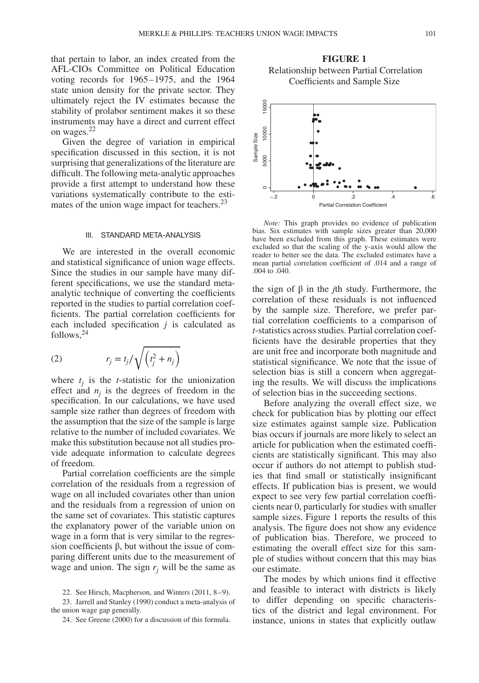that pertain to labor, an index created from the AFL-CIOs Committee on Political Education voting records for 1965–1975, and the 1964 state union density for the private sector. They ultimately reject the IV estimates because the stability of prolabor sentiment makes it so these instruments may have a direct and current effect on wages.[22](#page-8-0)

Given the degree of variation in empirical specification discussed in this section, it is not surprising that generalizations of the literature are difficult. The following meta-analytic approaches provide a first attempt to understand how these variations systematically contribute to the estimates of the union wage impact for teachers.<sup>23</sup>

#### III. STANDARD META-ANALYSIS

We are interested in the overall economic and statistical significance of union wage effects. Since the studies in our sample have many different specifications, we use the standard metaanalytic technique of converting the coefficients reported in the studies to partial correlation coefficients. The partial correlation coefficients for each included specification *j* is calculated as follows, $24$ 

(2) 
$$
r_j = t_j / \sqrt{\left(t_j^2 + n_j\right)}
$$

where  $t_i$  is the *t*-statistic for the unionization effect and  $n_i$  is the degrees of freedom in the specification. In our calculations, we have used sample size rather than degrees of freedom with the assumption that the size of the sample is large relative to the number of included covariates. We make this substitution because not all studies provide adequate information to calculate degrees of freedom.

Partial correlation coefficients are the simple correlation of the residuals from a regression of wage on all included covariates other than union and the residuals from a regression of union on the same set of covariates. This statistic captures the explanatory power of the variable union on wage in a form that is very similar to the regression coefficients β, but without the issue of comparing different units due to the measurement of wage and union. The sign  $r_i$  will be the same as

**FIGURE 1** Relationship between Partial Correlation Coefficients and Sample Size



*Note:* This graph provides no evidence of publication bias. Six estimates with sample sizes greater than 20,000 have been excluded from this graph. These estimates were excluded so that the scaling of the y-axis would allow the reader to better see the data. The excluded estimates have a mean partial correlation coefficient of .014 and a range of .004 to .040.

the sign of β in the *j*th study. Furthermore, the correlation of these residuals is not influenced by the sample size. Therefore, we prefer partial correlation coefficients to a comparison of *t*-statistics across studies. Partial correlation coefficients have the desirable properties that they are unit free and incorporate both magnitude and statistical significance. We note that the issue of selection bias is still a concern when aggregating the results. We will discuss the implications of selection bias in the succeeding sections.

Before analyzing the overall effect size, we check for publication bias by plotting our effect size estimates against sample size. Publication bias occurs if journals are more likely to select an article for publication when the estimated coefficients are statistically significant. This may also occur if authors do not attempt to publish studies that find small or statistically insignificant effects. If publication bias is present, we would expect to see very few partial correlation coefficients near 0, particularly for studies with smaller sample sizes. Figure 1 reports the results of this analysis. The figure does not show any evidence of publication bias. Therefore, we proceed to estimating the overall effect size for this sample of studies without concern that this may bias our estimate.

The modes by which unions find it effective and feasible to interact with districts is likely to differ depending on specific characteristics of the district and legal environment. For instance, unions in states that explicitly outlaw

<span id="page-8-1"></span><span id="page-8-0"></span><sup>22.</sup> See Hirsch, Macpherson, and Winters (2011, 8–9).

<sup>23.</sup> Jarrell and Stanley (1990) conduct a meta-analysis of the union wage gap generally.

<span id="page-8-2"></span><sup>24.</sup> See Greene (2000) for a discussion of this formula.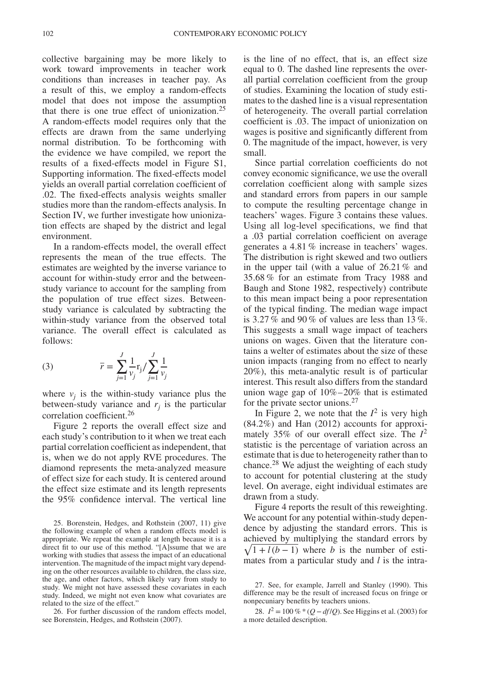collective bargaining may be more likely to work toward improvements in teacher work conditions than increases in teacher pay. As a result of this, we employ a random-effects model that does not impose the assumption that there is one true effect of unionization.[25](#page-9-0) A random-effects model requires only that the effects are drawn from the same underlying normal distribution. To be forthcoming with the evidence we have compiled, we report the results of a fixed-effects model in Figure S1, Supporting information. The fixed-effects model yields an overall partial correlation coefficient of .02. The fixed-effects analysis weights smaller studies more than the random-effects analysis. In Section IV, we further investigate how unionization effects are shaped by the district and legal environment.

In a random-effects model, the overall effect represents the mean of the true effects. The estimates are weighted by the inverse variance to account for within-study error and the betweenstudy variance to account for the sampling from the population of true effect sizes. Betweenstudy variance is calculated by subtracting the within-study variance from the observed total variance. The overall effect is calculated as follows:

(3) 
$$
\bar{r} = \sum_{j=1}^{J} \frac{1}{v_j} r_j / \sum_{j=1}^{J} \frac{1}{v_j}
$$

where  $v_i$  is the within-study variance plus the between-study variance and  $r_i$  is the particular correlation coefficient.[26](#page-9-1)

Figure 2 reports the overall effect size and each study's contribution to it when we treat each partial correlation coefficient as independent, that is, when we do not apply RVE procedures. The diamond represents the meta-analyzed measure of effect size for each study. It is centered around the effect size estimate and its length represents the 95% confidence interval. The vertical line

is the line of no effect, that is, an effect size equal to 0. The dashed line represents the overall partial correlation coefficient from the group of studies. Examining the location of study estimates to the dashed line is a visual representation of heterogeneity. The overall partial correlation coefficient is .03. The impact of unionization on wages is positive and significantly different from 0. The magnitude of the impact, however, is very small.

Since partial correlation coefficients do not convey economic significance, we use the overall correlation coefficient along with sample sizes and standard errors from papers in our sample to compute the resulting percentage change in teachers' wages. Figure 3 contains these values. Using all log-level specifications, we find that a .03 partial correlation coefficient on average generates a 4.81 % increase in teachers' wages. The distribution is right skewed and two outliers in the upper tail (with a value of 26.21 % and 35.68 % for an estimate from Tracy 1988 and Baugh and Stone 1982, respectively) contribute to this mean impact being a poor representation of the typical finding. The median wage impact is 3.27 % and 90 % of values are less than 13 %. This suggests a small wage impact of teachers unions on wages. Given that the literature contains a welter of estimates about the size of these union impacts (ranging from no effect to nearly 20%), this meta-analytic result is of particular interest. This result also differs from the standard union wage gap of  $10\% - 20\%$  that is estimated for the private sector unions.<sup>[27](#page-9-2)</sup>

In Figure 2, we note that the  $I^2$  is very high (84.2%) and Han (2012) accounts for approximately 35% of our overall effect size. The *I*<sup>2</sup> statistic is the percentage of variation across an estimate that is due to heterogeneity rather than to chance.[28](#page-9-3) We adjust the weighting of each study to account for potential clustering at the study level. On average, eight individual estimates are drawn from a study.

Figure 4 reports the result of this reweighting. We account for any potential within-study dependence by adjusting the standard errors. This is achieved by multiplying the standard errors by  $\sqrt{1 + l(b-1)}$  where *b* is the number of estimates from a particular study and *l* is the intra-

<span id="page-9-0"></span><sup>25.</sup> Borenstein, Hedges, and Rothstein (2007, 11) give the following example of when a random effects model is appropriate. We repeat the example at length because it is a direct fit to our use of this method. "[A]ssume that we are working with studies that assess the impact of an educational intervention. The magnitude of the impact might vary depending on the other resources available to children, the class size, the age, and other factors, which likely vary from study to study. We might not have assessed these covariates in each study. Indeed, we might not even know what covariates are related to the size of the effect."

<span id="page-9-1"></span><sup>26.</sup> For further discussion of the random effects model, see Borenstein, Hedges, and Rothstein (2007).

<span id="page-9-2"></span><sup>27.</sup> See, for example, Jarrell and Stanley (1990). This difference may be the result of increased focus on fringe or nonpecuniary benefits by teachers unions.

<span id="page-9-3"></span><sup>28.</sup> *I*<sup>2</sup> =100 % \* (*Q* −*df* /*Q*). See Higgins et al. (2003) for a more detailed description.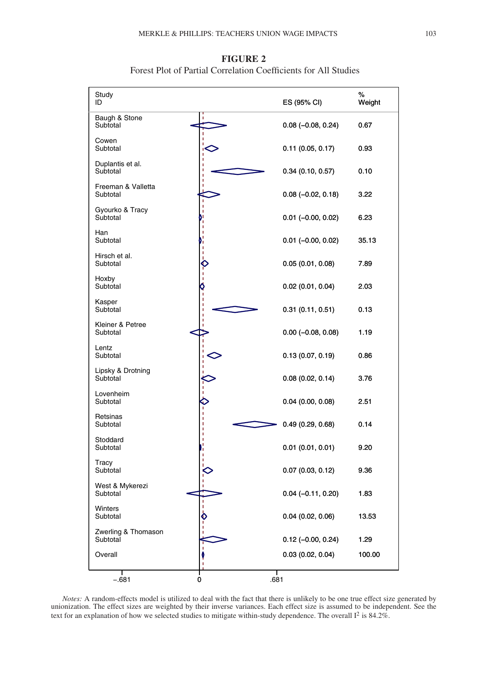| <b>FIGURE 2</b>                                                 |
|-----------------------------------------------------------------|
| Forest Plot of Partial Correlation Coefficients for All Studies |

| Study<br>ID                     |                | ES (95% CI)          | %<br>Weight |
|---------------------------------|----------------|----------------------|-------------|
| Baugh & Stone<br>Subtotal       |                | $0.08 (-0.08, 0.24)$ | 0.67        |
| Cowen<br>Subtotal               |                | 0.11(0.05, 0.17)     | 0.93        |
| Duplantis et al.<br>Subtotal    |                | 0.34(0.10, 0.57)     | 0.10        |
| Freeman & Valletta<br>Subtotal  |                | $0.08 (-0.02, 0.18)$ | 3.22        |
| Gyourko & Tracy<br>Subtotal     |                | $0.01$ (-0.00, 0.02) | 6.23        |
| Han<br>Subtotal                 |                | $0.01 (-0.00, 0.02)$ | 35.13       |
| Hirsch et al.<br>Subtotal       |                | 0.05(0.01, 0.08)     | 7.89        |
| Hoxby<br>Subtotal               |                | $0.02$ (0.01, 0.04)  | 2.03        |
| Kasper<br>Subtotal              |                | 0.31(0.11, 0.51)     | 0.13        |
| Kleiner & Petree<br>Subtotal    |                | $0.00 (-0.08, 0.08)$ | 1.19        |
| Lentz<br>Subtotal               |                | 0.13(0.07, 0.19)     | 0.86        |
| Lipsky & Drotning<br>Subtotal   |                | 0.08(0.02, 0.14)     | 3.76        |
| Lovenheim<br>Subtotal           |                | $0.04$ (0.00, 0.08)  | 2.51        |
| Retsinas<br>Subtotal            |                | 0.49(0.29, 0.68)     | 0.14        |
| Stoddard<br>Subtotal            |                | 0.01(0.01, 0.01)     | 9.20        |
| Tracy<br>Subtotal               |                | 0.07(0.03, 0.12)     | 9.36        |
| West & Mykerezi<br>Subtotal     |                | $0.04 (-0.11, 0.20)$ | 1.83        |
| Winters<br>Subtotal             | Ò              | $0.04$ (0.02, 0.06)  | 13.53       |
| Zwerling & Thomason<br>Subtotal |                | $0.12$ (-0.00, 0.24) | 1.29        |
| Overall                         |                | 0.03(0.02, 0.04)     | 100.00      |
| $-.681$                         | Т<br>0<br>.681 |                      |             |

*Notes:* A random-effects model is utilized to deal with the fact that there is unlikely to be one true effect size generated by unionization. The effect sizes are weighted by their inverse variances. Each effect size is assumed to be independent. See the text for an explanation of how we selected studies to mitigate within-study dependence. The overall  $I^2$  is 84.2%.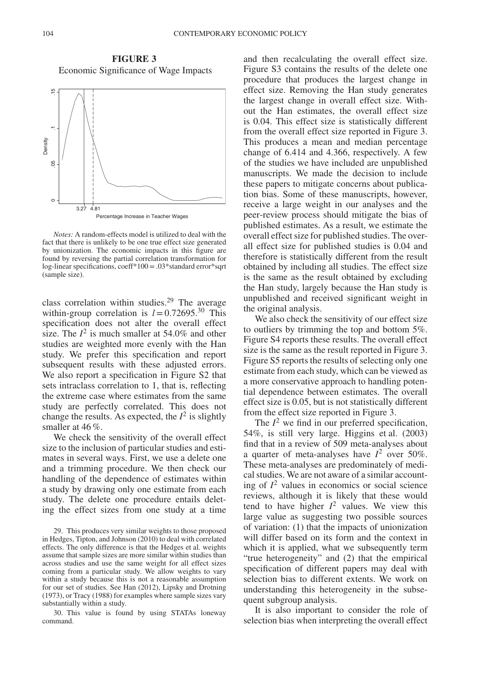**FIGURE 3** Economic Significance of Wage Impacts



*Notes:* A random-effects model is utilized to deal with the fact that there is unlikely to be one true effect size generated by unionization. The economic impacts in this figure are found by reversing the partial correlation transformation for log-linear specifications, coeff\*100=.03\*standard error\*sqrt (sample size).

class correlation within studies.<sup>29</sup> The average within-group correlation is  $l = 0.72695^{30}$  This specification does not alter the overall effect size. The  $I^2$  is much smaller at 54.0% and other studies are weighted more evenly with the Han study. We prefer this specification and report subsequent results with these adjusted errors. We also report a specification in Figure S2 that sets intraclass correlation to 1, that is, reflecting the extreme case where estimates from the same study are perfectly correlated. This does not change the results. As expected, the  $I^2$  is slightly smaller at 46 %.

We check the sensitivity of the overall effect size to the inclusion of particular studies and estimates in several ways. First, we use a delete one and a trimming procedure. We then check our handling of the dependence of estimates within a study by drawing only one estimate from each study. The delete one procedure entails deleting the effect sizes from one study at a time

<span id="page-11-1"></span>30. This value is found by using STATAs loneway command.

and then recalculating the overall effect size. Figure S3 contains the results of the delete one procedure that produces the largest change in effect size. Removing the Han study generates the largest change in overall effect size. Without the Han estimates, the overall effect size is 0.04. This effect size is statistically different from the overall effect size reported in Figure 3. This produces a mean and median percentage change of 6.414 and 4.366, respectively. A few of the studies we have included are unpublished manuscripts. We made the decision to include these papers to mitigate concerns about publication bias. Some of these manuscripts, however, receive a large weight in our analyses and the peer-review process should mitigate the bias of published estimates. As a result, we estimate the overall effect size for published studies. The overall effect size for published studies is 0.04 and therefore is statistically different from the result obtained by including all studies. The effect size is the same as the result obtained by excluding the Han study, largely because the Han study is unpublished and received significant weight in the original analysis.

We also check the sensitivity of our effect size to outliers by trimming the top and bottom 5%. Figure S4 reports these results. The overall effect size is the same as the result reported in Figure 3. Figure S5 reports the results of selecting only one estimate from each study, which can be viewed as a more conservative approach to handling potential dependence between estimates. The overall effect size is 0.05, but is not statistically different from the effect size reported in Figure 3.

The  $I^2$  we find in our preferred specification, 54%, is still very large. Higgins et al. (2003) find that in a review of 509 meta-analyses about a quarter of meta-analyses have  $I^2$  over 50%. These meta-analyses are predominately of medical studies. We are not aware of a similar accounting of  $I<sup>2</sup>$  values in economics or social science reviews, although it is likely that these would tend to have higher  $I^2$  values. We view this large value as suggesting two possible sources of variation: (1) that the impacts of unionization will differ based on its form and the context in which it is applied, what we subsequently term "true heterogeneity" and (2) that the empirical specification of different papers may deal with selection bias to different extents. We work on understanding this heterogeneity in the subsequent subgroup analysis.

It is also important to consider the role of selection bias when interpreting the overall effect

<span id="page-11-0"></span><sup>29.</sup> This produces very similar weights to those proposed in Hedges, Tipton, and Johnson (2010) to deal with correlated effects. The only difference is that the Hedges et al. weights assume that sample sizes are more similar within studies than across studies and use the same weight for all effect sizes coming from a particular study. We allow weights to vary within a study because this is not a reasonable assumption for our set of studies. See Han (2012), Lipsky and Drotning (1973), or Tracy (1988) for examples where sample sizes vary substantially within a study.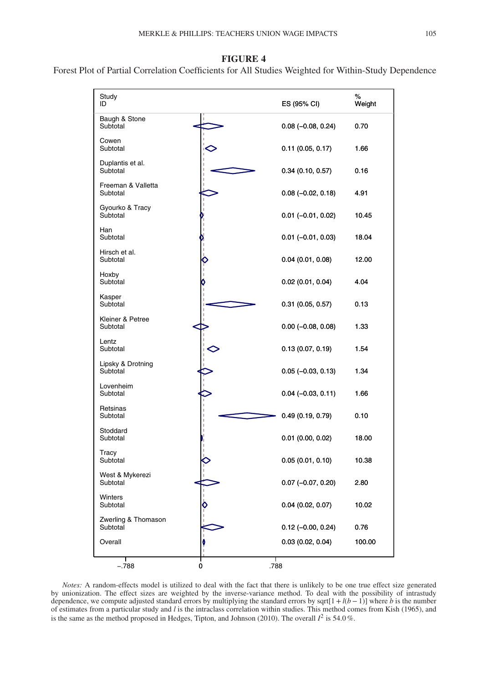Forest Plot of Partial Correlation Coefficients for All Studies Weighted for Within-Study Dependence

| Study<br>ID                     |           | ES (95% CI)          | %<br>Weight |
|---------------------------------|-----------|----------------------|-------------|
| Baugh & Stone<br>Subtotal       |           | $0.08 (-0.08, 0.24)$ | 0.70        |
| Cowen<br>Subtotal               |           | 0.11(0.05, 0.17)     | 1.66        |
| Duplantis et al.<br>Subtotal    |           | 0.34(0.10, 0.57)     | 0.16        |
| Freeman & Valletta<br>Subtotal  |           | $0.08 (-0.02, 0.18)$ | 4.91        |
| Gyourko & Tracy<br>Subtotal     |           | $0.01 (-0.01, 0.02)$ | 10.45       |
| Han<br>Subtotal                 |           | $0.01 (-0.01, 0.03)$ | 18.04       |
| Hirsch et al.<br>Subtotal       |           | 0.04(0.01, 0.08)     | 12.00       |
| Hoxby<br>Subtotal               |           | 0.02(0.01, 0.04)     | 4.04        |
| Kasper<br>Subtotal              |           | 0.31(0.05, 0.57)     | 0.13        |
| Kleiner & Petree<br>Subtotal    |           | $0.00 (-0.08, 0.08)$ | 1.33        |
| Lentz<br>Subtotal               |           | 0.13(0.07, 0.19)     | 1.54        |
| Lipsky & Drotning<br>Subtotal   |           | $0.05 (-0.03, 0.13)$ | 1.34        |
| Lovenheim<br>Subtotal           |           | $0.04 (-0.03, 0.11)$ | 1.66        |
| Retsinas<br>Subtotal            |           | 0.49(0.19, 0.79)     | 0.10        |
| Stoddard<br>Subtotal            |           | $0.01$ (0.00, 0.02)  | 18.00       |
| Tracy<br>Subtotal               |           | 0.05(0.01, 0.10)     | 10.38       |
| West & Mykerezi<br>Subtotal     |           | $0.07 (-0.07, 0.20)$ | 2.80        |
| Winters<br>Subtotal             |           | 0.04(0.02, 0.07)     | 10.02       |
| Zwerling & Thomason<br>Subtotal |           | $0.12 (-0.00, 0.24)$ | 0.76        |
| Overall                         |           | 0.03(0.02, 0.04)     | 100.00      |
| $-.788$                         | 0<br>.788 |                      |             |

*Notes:* A random-effects model is utilized to deal with the fact that there is unlikely to be one true effect size generated by unionization. The effect sizes are weighted by the inverse-variance method. To deal with the possibility of intrastudy dependence, we compute adjusted standard errors by multiplying the standard errors by sqrt $[1 + l(b-1)]$  where *b* is the number of estimates from a particular study and *l* is the intraclass correlation within studies. This method comes from Kish (1965), and is the same as the method proposed in Hedges, Tipton, and Johnson (2010). The overall *I*<sup>2</sup> is 54.0 %.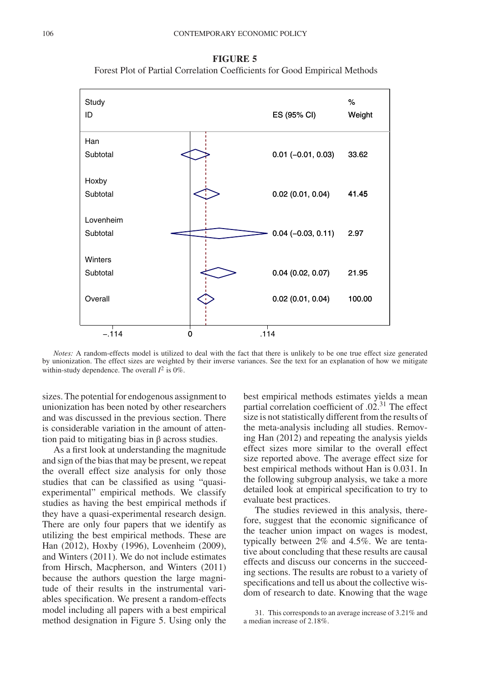**FIGURE 5**

Forest Plot of Partial Correlation Coefficients for Good Empirical Methods



*Notes:* A random-effects model is utilized to deal with the fact that there is unlikely to be one true effect size generated by unionization. The effect sizes are weighted by their inverse variances. See the text for an explanation of how we mitigate within-study dependence. The overall  $I^2$  is 0%.

sizes. The potential for endogenous assignment to unionization has been noted by other researchers and was discussed in the previous section. There is considerable variation in the amount of attention paid to mitigating bias in β across studies.

As a first look at understanding the magnitude and sign of the bias that may be present, we repeat the overall effect size analysis for only those studies that can be classified as using "quasiexperimental" empirical methods. We classify studies as having the best empirical methods if they have a quasi-experimental research design. There are only four papers that we identify as utilizing the best empirical methods. These are Han (2012), Hoxby (1996), Lovenheim (2009), and Winters (2011). We do not include estimates from Hirsch, Macpherson, and Winters (2011) because the authors question the large magnitude of their results in the instrumental variables specification. We present a random-effects model including all papers with a best empirical method designation in Figure 5. Using only the

best empirical methods estimates yields a mean partial correlation coefficient of .02.<sup>[31](#page-13-0)</sup> The effect size is not statistically different from the results of the meta-analysis including all studies. Removing Han (2012) and repeating the analysis yields effect sizes more similar to the overall effect size reported above. The average effect size for best empirical methods without Han is 0.031. In the following subgroup analysis, we take a more detailed look at empirical specification to try to evaluate best practices.

The studies reviewed in this analysis, therefore, suggest that the economic significance of the teacher union impact on wages is modest, typically between 2% and 4.5%. We are tentative about concluding that these results are causal effects and discuss our concerns in the succeeding sections. The results are robust to a variety of specifications and tell us about the collective wisdom of research to date. Knowing that the wage

<span id="page-13-0"></span>31. This corresponds to an average increase of 3.21% and a median increase of 2.18%.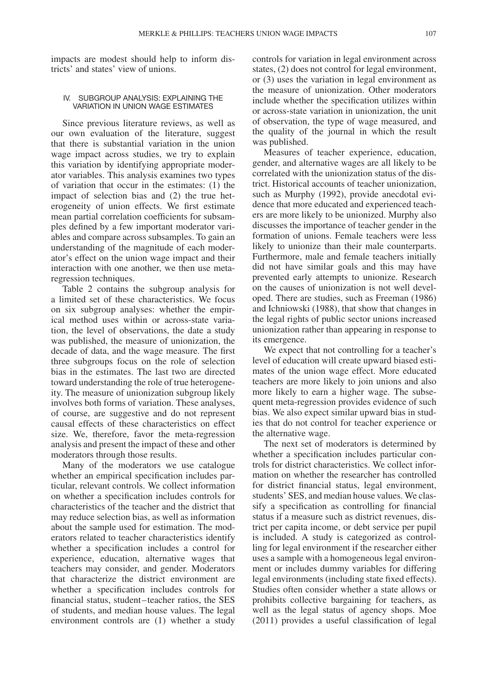impacts are modest should help to inform districts' and states' view of unions.

#### IV. SUBGROUP ANALYSIS: EXPLAINING THE VARIATION IN UNION WAGE ESTIMATES

Since previous literature reviews, as well as our own evaluation of the literature, suggest that there is substantial variation in the union wage impact across studies, we try to explain this variation by identifying appropriate moderator variables. This analysis examines two types of variation that occur in the estimates: (1) the impact of selection bias and (2) the true heterogeneity of union effects. We first estimate mean partial correlation coefficients for subsamples defined by a few important moderator variables and compare across subsamples. To gain an understanding of the magnitude of each moderator's effect on the union wage impact and their interaction with one another, we then use metaregression techniques.

Table 2 contains the subgroup analysis for a limited set of these characteristics. We focus on six subgroup analyses: whether the empirical method uses within or across-state variation, the level of observations, the date a study was published, the measure of unionization, the decade of data, and the wage measure. The first three subgroups focus on the role of selection bias in the estimates. The last two are directed toward understanding the role of true heterogeneity. The measure of unionization subgroup likely involves both forms of variation. These analyses, of course, are suggestive and do not represent causal effects of these characteristics on effect size. We, therefore, favor the meta-regression analysis and present the impact of these and other moderators through those results.

Many of the moderators we use catalogue whether an empirical specification includes particular, relevant controls. We collect information on whether a specification includes controls for characteristics of the teacher and the district that may reduce selection bias, as well as information about the sample used for estimation. The moderators related to teacher characteristics identify whether a specification includes a control for experience, education, alternative wages that teachers may consider, and gender. Moderators that characterize the district environment are whether a specification includes controls for financial status, student–teacher ratios, the SES of students, and median house values. The legal environment controls are (1) whether a study controls for variation in legal environment across states, (2) does not control for legal environment, or (3) uses the variation in legal environment as the measure of unionization. Other moderators include whether the specification utilizes within or across-state variation in unionization, the unit of observation, the type of wage measured, and the quality of the journal in which the result was published.

Measures of teacher experience, education, gender, and alternative wages are all likely to be correlated with the unionization status of the district. Historical accounts of teacher unionization, such as Murphy (1992), provide anecdotal evidence that more educated and experienced teachers are more likely to be unionized. Murphy also discusses the importance of teacher gender in the formation of unions. Female teachers were less likely to unionize than their male counterparts. Furthermore, male and female teachers initially did not have similar goals and this may have prevented early attempts to unionize. Research on the causes of unionization is not well developed. There are studies, such as Freeman (1986) and Ichniowski (1988), that show that changes in the legal rights of public sector unions increased unionization rather than appearing in response to its emergence.

We expect that not controlling for a teacher's level of education will create upward biased estimates of the union wage effect. More educated teachers are more likely to join unions and also more likely to earn a higher wage. The subsequent meta-regression provides evidence of such bias. We also expect similar upward bias in studies that do not control for teacher experience or the alternative wage.

The next set of moderators is determined by whether a specification includes particular controls for district characteristics. We collect information on whether the researcher has controlled for district financial status, legal environment, students' SES, and median house values. We classify a specification as controlling for financial status if a measure such as district revenues, district per capita income, or debt service per pupil is included. A study is categorized as controlling for legal environment if the researcher either uses a sample with a homogeneous legal environment or includes dummy variables for differing legal environments (including state fixed effects). Studies often consider whether a state allows or prohibits collective bargaining for teachers, as well as the legal status of agency shops. Moe (2011) provides a useful classification of legal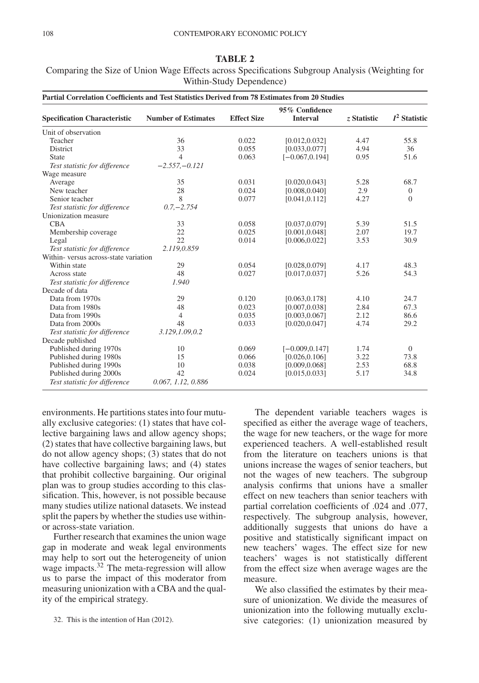### **TABLE 2**

Comparing the Size of Union Wage Effects across Specifications Subgroup Analysis (Weighting for Within-Study Dependence)

| Partial Correlation Coefficients and Test Statistics Derived from 78 Estimates from 20 Studies |                            |                    |                                   |             |                |
|------------------------------------------------------------------------------------------------|----------------------------|--------------------|-----------------------------------|-------------|----------------|
| <b>Specification Characteristic</b>                                                            | <b>Number of Estimates</b> | <b>Effect Size</b> | 95% Confidence<br><b>Interval</b> | z Statistic | $I2$ Statistic |
| Unit of observation                                                                            |                            |                    |                                   |             |                |
| Teacher                                                                                        | 36                         | 0.022              | [0.012, 0.032]                    | 4.47        | 55.8           |
| District                                                                                       | 33                         | 0.055              | [0.033, 0.077]                    | 4.94        | 36             |
| <b>State</b>                                                                                   | $\overline{4}$             | 0.063              | $[-0.067, 0.194]$                 | 0.95        | 51.6           |
| Test statistic for difference                                                                  | $-2.557, -0.121$           |                    |                                   |             |                |
| Wage measure                                                                                   |                            |                    |                                   |             |                |
| Average                                                                                        | 35                         | 0.031              | [0.020, 0.043]                    | 5.28        | 68.7           |
| New teacher                                                                                    | 28                         | 0.024              | [0.008, 0.040]                    | 2.9         | $\overline{0}$ |
| Senior teacher                                                                                 | 8                          | 0.077              | [0.041, 0.112]                    | 4.27        | $\Omega$       |
| Test statistic for difference                                                                  | $0.7, -2.754$              |                    |                                   |             |                |
| Unionization measure                                                                           |                            |                    |                                   |             |                |
| <b>CBA</b>                                                                                     | 33                         | 0.058              | [0.037, 0.079]                    | 5.39        | 51.5           |
| Membership coverage                                                                            | 22                         | 0.025              | [0.001, 0.048]                    | 2.07        | 19.7           |
| Legal                                                                                          | 22.                        | 0.014              | [0.006, 0.022]                    | 3.53        | 30.9           |
| Test statistic for difference                                                                  | 2.119,0.859                |                    |                                   |             |                |
| Within-versus across-state variation                                                           |                            |                    |                                   |             |                |
| Within state                                                                                   | 29                         | 0.054              | [0.028, 0.079]                    | 4.17        | 48.3           |
| Across state                                                                                   | 48                         | 0.027              | [0.017.0.037]                     | 5.26        | 54.3           |
| Test statistic for difference                                                                  | 1.940                      |                    |                                   |             |                |
| Decade of data                                                                                 |                            |                    |                                   |             |                |
| Data from 1970s                                                                                | 29                         | 0.120              | [0.063, 0.178]                    | 4.10        | 24.7           |
| Data from 1980s                                                                                | 48                         | 0.023              | [0.007, 0.038]                    | 2.84        | 67.3           |
| Data from 1990s                                                                                | 4                          | 0.035              | [0.003, 0.067]                    | 2.12        | 86.6           |
| Data from 2000s                                                                                | 48                         | 0.033              | [0.020, 0.047]                    | 4.74        | 29.2           |
| Test statistic for difference                                                                  | 3.129, 1.09, 0.2           |                    |                                   |             |                |
| Decade published                                                                               |                            |                    |                                   |             |                |
| Published during 1970s                                                                         | 10                         | 0.069              | $[-0.009, 0.147]$                 | 1.74        | $\theta$       |
| Published during 1980s                                                                         | 15                         | 0.066              | [0.026, 0.106]                    | 3.22        | 73.8           |
| Published during 1990s                                                                         | 10                         | 0.038              | [0.009, 0.068]                    | 2.53        | 68.8           |
| Published during 2000s                                                                         | 42                         | 0.024              | [0.015, 0.033]                    | 5.17        | 34.8           |
| Test statistic for difference                                                                  | 0.067, 1.12, 0.886         |                    |                                   |             |                |

environments. He partitions states into four mutually exclusive categories: (1) states that have collective bargaining laws and allow agency shops; (2) states that have collective bargaining laws, but do not allow agency shops; (3) states that do not have collective bargaining laws; and (4) states that prohibit collective bargaining. Our original plan was to group studies according to this classification. This, however, is not possible because many studies utilize national datasets. We instead split the papers by whether the studies use withinor across-state variation.

Further research that examines the union wage gap in moderate and weak legal environments may help to sort out the heterogeneity of union wage impacts.<sup>32</sup> The meta-regression will allow us to parse the impact of this moderator from measuring unionization with a CBA and the quality of the empirical strategy.

<span id="page-15-0"></span>32. This is the intention of Han (2012).

The dependent variable teachers wages is specified as either the average wage of teachers, the wage for new teachers, or the wage for more experienced teachers. A well-established result from the literature on teachers unions is that unions increase the wages of senior teachers, but not the wages of new teachers. The subgroup analysis confirms that unions have a smaller effect on new teachers than senior teachers with partial correlation coefficients of .024 and .077, respectively. The subgroup analysis, however, additionally suggests that unions do have a positive and statistically significant impact on new teachers' wages. The effect size for new teachers' wages is not statistically different from the effect size when average wages are the measure.

We also classified the estimates by their measure of unionization. We divide the measures of unionization into the following mutually exclusive categories: (1) unionization measured by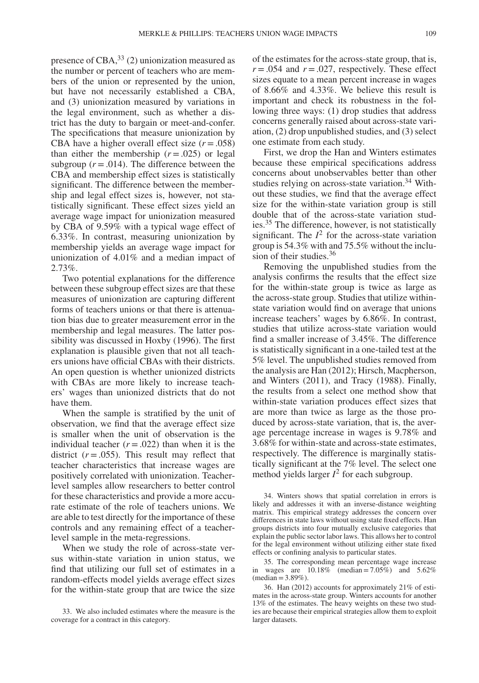presence of  $CBA$ ,<sup>[33](#page-16-0)</sup> (2) unionization measured as the number or percent of teachers who are members of the union or represented by the union, but have not necessarily established a CBA, and (3) unionization measured by variations in the legal environment, such as whether a district has the duty to bargain or meet-and-confer. The specifications that measure unionization by CBA have a higher overall effect size  $(r = .058)$ than either the membership  $(r = .025)$  or legal subgroup  $(r = .014)$ . The difference between the CBA and membership effect sizes is statistically significant. The difference between the membership and legal effect sizes is, however, not statistically significant. These effect sizes yield an average wage impact for unionization measured by CBA of 9.59% with a typical wage effect of 6.33%. In contrast, measuring unionization by membership yields an average wage impact for unionization of 4.01% and a median impact of 2.73%.

Two potential explanations for the difference between these subgroup effect sizes are that these measures of unionization are capturing different forms of teachers unions or that there is attenuation bias due to greater measurement error in the membership and legal measures. The latter possibility was discussed in Hoxby (1996). The first explanation is plausible given that not all teachers unions have official CBAs with their districts. An open question is whether unionized districts with CBAs are more likely to increase teachers' wages than unionized districts that do not have them.

When the sample is stratified by the unit of observation, we find that the average effect size is smaller when the unit of observation is the individual teacher  $(r = .022)$  than when it is the district  $(r = .055)$ . This result may reflect that teacher characteristics that increase wages are positively correlated with unionization. Teacherlevel samples allow researchers to better control for these characteristics and provide a more accurate estimate of the role of teachers unions. We are able to test directly for the importance of these controls and any remaining effect of a teacherlevel sample in the meta-regressions.

When we study the role of across-state versus within-state variation in union status, we find that utilizing our full set of estimates in a random-effects model yields average effect sizes for the within-state group that are twice the size of the estimates for the across-state group, that is,  $r = .054$  and  $r = .027$ , respectively. These effect sizes equate to a mean percent increase in wages of 8.66% and 4.33%. We believe this result is important and check its robustness in the following three ways: (1) drop studies that address concerns generally raised about across-state variation, (2) drop unpublished studies, and (3) select one estimate from each study.

First, we drop the Han and Winters estimates because these empirical specifications address concerns about unobservables better than other studies relying on across-state variation.<sup>34</sup> Without these studies, we find that the average effect size for the within-state variation group is still double that of the across-state variation studies[.35](#page-16-2) The difference, however, is not statistically significant. The  $I^2$  for the across-state variation group is 54.3% with and 75.5% without the inclu-sion of their studies.<sup>[36](#page-16-3)</sup>

Removing the unpublished studies from the analysis confirms the results that the effect size for the within-state group is twice as large as the across-state group. Studies that utilize withinstate variation would find on average that unions increase teachers' wages by 6.86%. In contrast, studies that utilize across-state variation would find a smaller increase of 3.45%. The difference is statistically significant in a one-tailed test at the 5% level. The unpublished studies removed from the analysis are Han (2012); Hirsch, Macpherson, and Winters (2011), and Tracy (1988). Finally, the results from a select one method show that within-state variation produces effect sizes that are more than twice as large as the those produced by across-state variation, that is, the average percentage increase in wages is 9.78% and 3.68% for within-state and across-state estimates, respectively. The difference is marginally statistically significant at the 7% level. The select one method yields larger  $I^2$  for each subgroup.

<span id="page-16-1"></span>34. Winters shows that spatial correlation in errors is likely and addresses it with an inverse-distance weighting matrix. This empirical strategy addresses the concern over differences in state laws without using state fixed effects. Han groups districts into four mutually exclusive categories that explain the public sector labor laws. This allows her to control for the legal environment without utilizing either state fixed effects or confining analysis to particular states.

<span id="page-16-2"></span>35. The corresponding mean percentage wage increase in wages are 10.18% (median=7.05%) and 5.62%  $(median = 3.89\%).$ 

<span id="page-16-3"></span>36. Han (2012) accounts for approximately 21% of estimates in the across-state group. Winters accounts for another 13% of the estimates. The heavy weights on these two studies are because their empirical strategies allow them to exploit larger datasets.

<span id="page-16-0"></span><sup>33.</sup> We also included estimates where the measure is the coverage for a contract in this category.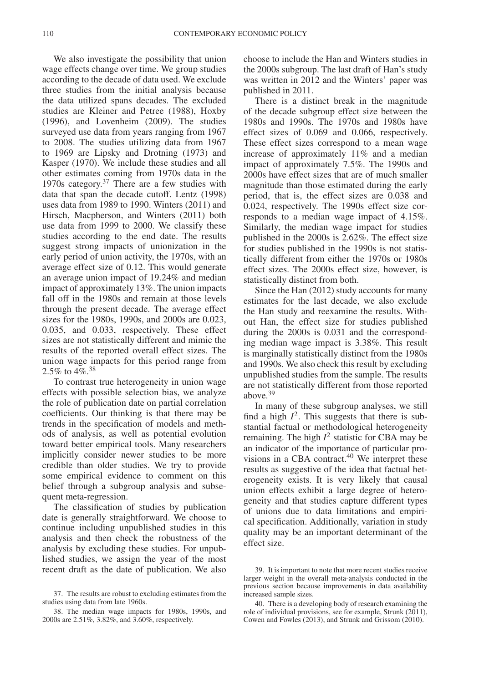We also investigate the possibility that union wage effects change over time. We group studies according to the decade of data used. We exclude three studies from the initial analysis because the data utilized spans decades. The excluded studies are Kleiner and Petree (1988), Hoxby (1996), and Lovenheim (2009). The studies surveyed use data from years ranging from 1967 to 2008. The studies utilizing data from 1967 to 1969 are Lipsky and Drotning (1973) and Kasper (1970). We include these studies and all other estimates coming from 1970s data in the 1970s category.<sup>[37](#page-17-0)</sup> There are a few studies with data that span the decade cutoff. Lentz (1998) uses data from 1989 to 1990. Winters (2011) and Hirsch, Macpherson, and Winters (2011) both use data from 1999 to 2000. We classify these studies according to the end date. The results suggest strong impacts of unionization in the early period of union activity, the 1970s, with an average effect size of 0.12. This would generate an average union impact of 19.24% and median impact of approximately 13%. The union impacts fall off in the 1980s and remain at those levels through the present decade. The average effect sizes for the 1980s, 1990s, and 2000s are 0.023, 0.035, and 0.033, respectively. These effect sizes are not statistically different and mimic the results of the reported overall effect sizes. The union wage impacts for this period range from 2.5% to  $4\%$ <sup>38</sup>

To contrast true heterogeneity in union wage effects with possible selection bias, we analyze the role of publication date on partial correlation coefficients. Our thinking is that there may be trends in the specification of models and methods of analysis, as well as potential evolution toward better empirical tools. Many researchers implicitly consider newer studies to be more credible than older studies. We try to provide some empirical evidence to comment on this belief through a subgroup analysis and subsequent meta-regression.

The classification of studies by publication date is generally straightforward. We choose to continue including unpublished studies in this analysis and then check the robustness of the analysis by excluding these studies. For unpublished studies, we assign the year of the most recent draft as the date of publication. We also

choose to include the Han and Winters studies in the 2000s subgroup. The last draft of Han's study was written in 2012 and the Winters' paper was published in 2011.

There is a distinct break in the magnitude of the decade subgroup effect size between the 1980s and 1990s. The 1970s and 1980s have effect sizes of 0.069 and 0.066, respectively. These effect sizes correspond to a mean wage increase of approximately 11% and a median impact of approximately 7.5%. The 1990s and 2000s have effect sizes that are of much smaller magnitude than those estimated during the early period, that is, the effect sizes are 0.038 and 0.024, respectively. The 1990s effect size corresponds to a median wage impact of 4.15%. Similarly, the median wage impact for studies published in the 2000s is 2.62%. The effect size for studies published in the 1990s is not statistically different from either the 1970s or 1980s effect sizes. The 2000s effect size, however, is statistically distinct from both.

Since the Han (2012) study accounts for many estimates for the last decade, we also exclude the Han study and reexamine the results. Without Han, the effect size for studies published during the 2000s is 0.031 and the corresponding median wage impact is 3.38%. This result is marginally statistically distinct from the 1980s and 1990s. We also check this result by excluding unpublished studies from the sample. The results are not statistically different from those reported above.[39](#page-17-2)

In many of these subgroup analyses, we still find a high  $I^2$ . This suggests that there is substantial factual or methodological heterogeneity remaining. The high  $I^2$  statistic for CBA may be an indicator of the importance of particular pro-visions in a CBA contract.<sup>[40](#page-17-3)</sup> We interpret these results as suggestive of the idea that factual heterogeneity exists. It is very likely that causal union effects exhibit a large degree of heterogeneity and that studies capture different types of unions due to data limitations and empirical specification. Additionally, variation in study quality may be an important determinant of the effect size.

<span id="page-17-0"></span><sup>37.</sup> The results are robust to excluding estimates from the studies using data from late 1960s.

<span id="page-17-1"></span><sup>38.</sup> The median wage impacts for 1980s, 1990s, and 2000s are 2.51%, 3.82%, and 3.60%, respectively.

<span id="page-17-2"></span><sup>39.</sup> It is important to note that more recent studies receive larger weight in the overall meta-analysis conducted in the previous section because improvements in data availability increased sample sizes.

<span id="page-17-3"></span><sup>40.</sup> There is a developing body of research examining the role of individual provisions, see for example, Strunk (2011), Cowen and Fowles (2013), and Strunk and Grissom (2010).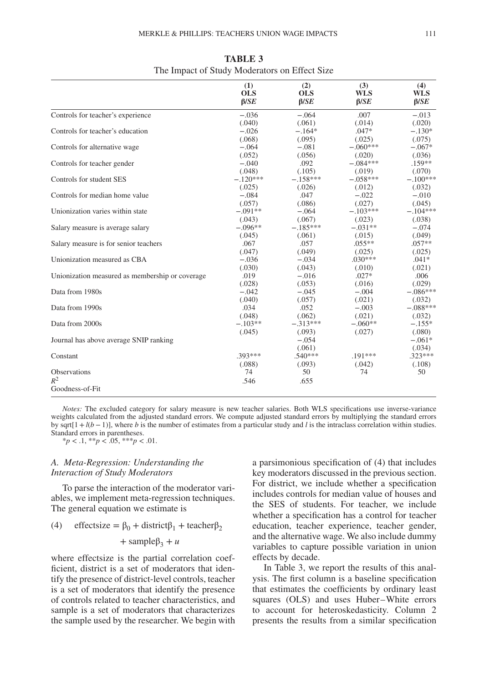|                                                 | (1)<br><b>OLS</b><br>$\beta/SE$ | (2)<br><b>OLS</b><br>$\beta/SE$ | (3)<br><b>WLS</b><br>$\beta/SE$ | (4)<br><b>WLS</b><br>$\beta/SE$ |
|-------------------------------------------------|---------------------------------|---------------------------------|---------------------------------|---------------------------------|
| Controls for teacher's experience               | $-.036$                         | $-.064$                         | .007                            | $-.013$                         |
|                                                 | (.040)                          | (.061)                          | (.014)                          | (.020)                          |
| Controls for teacher's education                | $-.026$                         | $-.164*$                        | $.047*$                         | $-.130*$                        |
|                                                 | (.068)                          | (.095)                          | (.025)                          | (.075)                          |
| Controls for alternative wage                   | $-.064$                         | $-.081$                         | $-.060***$                      | $-.067*$                        |
|                                                 | (.052)                          | (.056)                          | (.020)                          | (.036)                          |
| Controls for teacher gender                     | $-.040$                         | .092                            | $-.084***$                      | $.159**$                        |
|                                                 | (.048)                          | (.105)                          | (.019)                          | (.070)                          |
| Controls for student SES                        | $-.120***$                      | $-.158***$                      | $-.058***$                      | $-.100***$                      |
|                                                 | (.025)                          | (.026)                          | (.012)                          | (.032)                          |
| Controls for median home value                  | $-.084$                         | .047                            | $-.022$                         | $-.010$                         |
|                                                 | (.057)                          | (.086)                          | (.027)                          | (.045)                          |
| Unionization varies within state                | $-.091**$                       | $-.064$                         | $-.103***$                      | $-.104***$                      |
|                                                 | (.043)                          | (.067)                          | (.023)                          | (.038)                          |
| Salary measure is average salary                | $-.096**$                       | $-.185***$                      | $-.031**$                       | $-.074$                         |
|                                                 | (.045)                          | (.061)                          | (.015)                          | (.049)                          |
| Salary measure is for senior teachers           | .067                            | .057                            | $.055**$                        | $.057**$                        |
|                                                 | (.047)                          | (.049)                          | (.025)                          | (.025)                          |
| Unionization measured as CBA                    | $-.036$                         | $-.034$                         | $.030***$                       | $.041*$                         |
|                                                 | (.030)                          | (.043)                          | (.010)                          | (.021)                          |
| Unionization measured as membership or coverage | .019                            | $-.016$                         | $.027*$                         | .006                            |
|                                                 | (.028)                          | (.053)                          | (.016)                          | (.029)                          |
| Data from 1980s                                 | $-.042$                         | $-.045$                         | $-.004$                         | $-.086***$                      |
|                                                 | (.040)                          | (.057)                          | (.021)                          | (.032)                          |
| Data from 1990s                                 | .034                            | .052                            | $-.003$                         | $-.088***$                      |
|                                                 | (.048)                          | (.062)                          | (.021)                          | (.032)                          |
| Data from 2000s                                 | $-.103**$                       | $-.313***$                      | $-.060**$                       | $-.155*$                        |
|                                                 | (.045)                          | (.093)                          | (.027)                          | (.080)                          |
| Journal has above average SNIP ranking          |                                 | $-.054$                         |                                 | $-.061*$                        |
|                                                 |                                 | (.061)                          |                                 | (.034)                          |
| Constant                                        | .393 ***                        | $.540***$                       | .191***                         | $.323***$                       |
|                                                 | (.088)                          | (.093)                          | (.042)                          | (.108)                          |
| Observations                                    | 74                              | 50                              | 74                              | 50                              |
| $R^2$                                           | .546                            | .655                            |                                 |                                 |
| Goodness-of-Fit                                 |                                 |                                 |                                 |                                 |

**TABLE 3** The Impact of Study Moderators on Effect Size

*Notes:* The excluded category for salary measure is new teacher salaries. Both WLS specifications use inverse-variance weights calculated from the adjusted standard errors. We compute adjusted standard errors by multiplying the standard errors by sqrt[1+*l*(*b*−1)], where *b* is the number of estimates from a particular study and *l* is the intraclass correlation within studies. Standard errors in parentheses.

\**p <* .1, \*\**p <* .05, \*\*\**p <* .01.

## *A. Meta-Regression: Understanding the Interaction of Study Moderators*

To parse the interaction of the moderator variables, we implement meta-regression techniques. The general equation we estimate is

(4) effective 
$$
= \beta_0 + \text{district}\beta_1 + \text{teacher}\beta_2 + \text{sample}\beta_3 + u
$$

where effectsize is the partial correlation coefficient, district is a set of moderators that identify the presence of district-level controls, teacher is a set of moderators that identify the presence of controls related to teacher characteristics, and sample is a set of moderators that characterizes the sample used by the researcher. We begin with a parsimonious specification of (4) that includes key moderators discussed in the previous section. For district, we include whether a specification includes controls for median value of houses and the SES of students. For teacher, we include whether a specification has a control for teacher education, teacher experience, teacher gender, and the alternative wage. We also include dummy variables to capture possible variation in union effects by decade.

In Table 3, we report the results of this analysis. The first column is a baseline specification that estimates the coefficients by ordinary least squares (OLS) and uses Huber–White errors to account for heteroskedasticity. Column 2 presents the results from a similar specification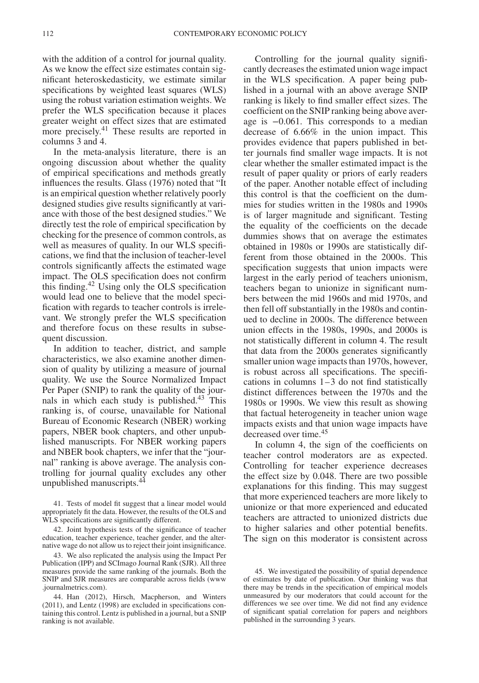with the addition of a control for journal quality. As we know the effect size estimates contain significant heteroskedasticity, we estimate similar specifications by weighted least squares (WLS) using the robust variation estimation weights. We prefer the WLS specification because it places greater weight on effect sizes that are estimated more precisely.<sup>41</sup> These results are reported in columns 3 and 4.

In the meta-analysis literature, there is an ongoing discussion about whether the quality of empirical specifications and methods greatly influences the results. Glass (1976) noted that "It is an empirical question whether relatively poorly designed studies give results significantly at variance with those of the best designed studies." We directly test the role of empirical specification by checking for the presence of common controls, as well as measures of quality. In our WLS specifications, we find that the inclusion of teacher-level controls significantly affects the estimated wage impact. The OLS specification does not confirm this finding.[42](#page-19-1) Using only the OLS specification would lead one to believe that the model specification with regards to teacher controls is irrelevant. We strongly prefer the WLS specification and therefore focus on these results in subsequent discussion.

In addition to teacher, district, and sample characteristics, we also examine another dimension of quality by utilizing a measure of journal quality. We use the Source Normalized Impact Per Paper (SNIP) to rank the quality of the jour-nals in which each study is published.<sup>[43](#page-19-2)</sup> This ranking is, of course, unavailable for National Bureau of Economic Research (NBER) working papers, NBER book chapters, and other unpublished manuscripts. For NBER working papers and NBER book chapters, we infer that the "journal" ranking is above average. The analysis controlling for journal quality excludes any other unpublished manuscripts[.44](#page-19-3)

Controlling for the journal quality significantly decreases the estimated union wage impact in the WLS specification. A paper being published in a journal with an above average SNIP ranking is likely to find smaller effect sizes. The coefficient on the SNIP ranking being above average is −0.061. This corresponds to a median decrease of 6.66% in the union impact. This provides evidence that papers published in better journals find smaller wage impacts. It is not clear whether the smaller estimated impact is the result of paper quality or priors of early readers of the paper. Another notable effect of including this control is that the coefficient on the dummies for studies written in the 1980s and 1990s is of larger magnitude and significant. Testing the equality of the coefficients on the decade dummies shows that on average the estimates obtained in 1980s or 1990s are statistically different from those obtained in the 2000s. This specification suggests that union impacts were largest in the early period of teachers unionism, teachers began to unionize in significant numbers between the mid 1960s and mid 1970s, and then fell off substantially in the 1980s and continued to decline in 2000s. The difference between union effects in the 1980s, 1990s, and 2000s is not statistically different in column 4. The result that data from the 2000s generates significantly smaller union wage impacts than 1970s, however, is robust across all specifications. The specifications in columns 1–3 do not find statistically distinct differences between the 1970s and the 1980s or 1990s. We view this result as showing that factual heterogeneity in teacher union wage impacts exists and that union wage impacts have decreased over time.<sup>[45](#page-19-4)</sup>

In column 4, the sign of the coefficients on teacher control moderators are as expected. Controlling for teacher experience decreases the effect size by 0.048. There are two possible explanations for this finding. This may suggest that more experienced teachers are more likely to unionize or that more experienced and educated teachers are attracted to unionized districts due to higher salaries and other potential benefits. The sign on this moderator is consistent across

<span id="page-19-0"></span><sup>41.</sup> Tests of model fit suggest that a linear model would appropriately fit the data. However, the results of the OLS and WLS specifications are significantly different.

<span id="page-19-1"></span><sup>42.</sup> Joint hypothesis tests of the significance of teacher education, teacher experience, teacher gender, and the alternative wage do not allow us to reject their joint insignificance.

<span id="page-19-2"></span><sup>43.</sup> We also replicated the analysis using the Impact Per Publication (IPP) and SCImago Journal Rank (SJR). All three measures provide the same ranking of the journals. Both the SNIP and SJR measures are comparable across fields [\(www](http://www.journalmetrics.com) [.journalmetrics.com\)](http://www.journalmetrics.com).

<span id="page-19-3"></span><sup>44.</sup> Han (2012), Hirsch, Macpherson, and Winters (2011), and Lentz (1998) are excluded in specifications containing this control. Lentz is published in a journal, but a SNIP ranking is not available.

<span id="page-19-4"></span><sup>45.</sup> We investigated the possibility of spatial dependence of estimates by date of publication. Our thinking was that there may be trends in the specification of empirical models unmeasured by our moderators that could account for the differences we see over time. We did not find any evidence of significant spatial correlation for papers and neighbors published in the surrounding 3 years.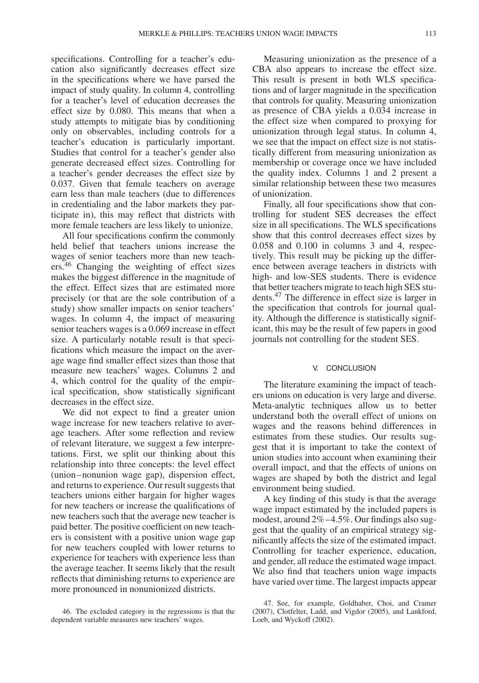specifications. Controlling for a teacher's education also significantly decreases effect size in the specifications where we have parsed the impact of study quality. In column 4, controlling for a teacher's level of education decreases the effect size by 0.080. This means that when a study attempts to mitigate bias by conditioning only on observables, including controls for a teacher's education is particularly important. Studies that control for a teacher's gender also generate decreased effect sizes. Controlling for a teacher's gender decreases the effect size by 0.037. Given that female teachers on average earn less than male teachers (due to differences in credentialing and the labor markets they participate in), this may reflect that districts with more female teachers are less likely to unionize.

All four specifications confirm the commonly held belief that teachers unions increase the wages of senior teachers more than new teachers.<sup>46</sup> Changing the weighting of effect sizes makes the biggest difference in the magnitude of the effect. Effect sizes that are estimated more precisely (or that are the sole contribution of a study) show smaller impacts on senior teachers' wages. In column 4, the impact of measuring senior teachers wages is a 0.069 increase in effect size. A particularly notable result is that specifications which measure the impact on the average wage find smaller effect sizes than those that measure new teachers' wages. Columns 2 and 4, which control for the quality of the empirical specification, show statistically significant decreases in the effect size.

We did not expect to find a greater union wage increase for new teachers relative to average teachers. After some reflection and review of relevant literature, we suggest a few interpretations. First, we split our thinking about this relationship into three concepts: the level effect (union–nonunion wage gap), dispersion effect, and returns to experience. Our result suggests that teachers unions either bargain for higher wages for new teachers or increase the qualifications of new teachers such that the average new teacher is paid better. The positive coefficient on new teachers is consistent with a positive union wage gap for new teachers coupled with lower returns to experience for teachers with experience less than the average teacher. It seems likely that the result reflects that diminishing returns to experience are more pronounced in nonunionized districts.

Measuring unionization as the presence of a CBA also appears to increase the effect size. This result is present in both WLS specifications and of larger magnitude in the specification that controls for quality. Measuring unionization as presence of CBA yields a 0.034 increase in the effect size when compared to proxying for unionization through legal status. In column 4, we see that the impact on effect size is not statistically different from measuring unionization as membership or coverage once we have included the quality index. Columns 1 and 2 present a similar relationship between these two measures of unionization.

Finally, all four specifications show that controlling for student SES decreases the effect size in all specifications. The WLS specifications show that this control decreases effect sizes by 0.058 and 0.100 in columns 3 and 4, respectively. This result may be picking up the difference between average teachers in districts with high- and low-SES students. There is evidence that better teachers migrate to teach high SES students[.47](#page-20-1) The difference in effect size is larger in the specification that controls for journal quality. Although the difference is statistically significant, this may be the result of few papers in good journals not controlling for the student SES.

#### V. CONCLUSION

The literature examining the impact of teachers unions on education is very large and diverse. Meta-analytic techniques allow us to better understand both the overall effect of unions on wages and the reasons behind differences in estimates from these studies. Our results suggest that it is important to take the context of union studies into account when examining their overall impact, and that the effects of unions on wages are shaped by both the district and legal environment being studied.

A key finding of this study is that the average wage impact estimated by the included papers is modest, around 2%–4.5%. Our findings also suggest that the quality of an empirical strategy significantly affects the size of the estimated impact. Controlling for teacher experience, education, and gender, all reduce the estimated wage impact. We also find that teachers union wage impacts have varied over time. The largest impacts appear

<span id="page-20-0"></span><sup>46.</sup> The excluded category in the regressions is that the dependent variable measures new teachers' wages.

<span id="page-20-1"></span><sup>47.</sup> See, for example, Goldhaber, Choi, and Cramer (2007), Clotfelter, Ladd, and Vigdor (2005), and Lankford, Loeb, and Wyckoff (2002).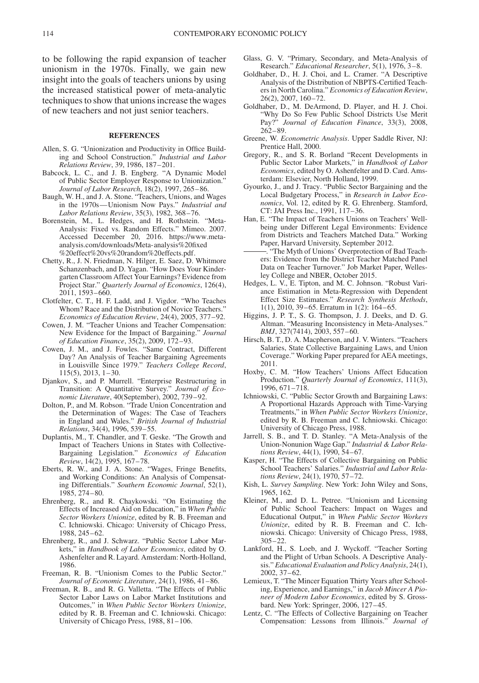to be following the rapid expansion of teacher unionism in the 1970s. Finally, we gain new insight into the goals of teachers unions by using the increased statistical power of meta-analytic techniques to show that unions increase the wages of new teachers and not just senior teachers.

#### **REFERENCES**

- Allen, S. G. "Unionization and Productivity in Office Building and School Construction." *Industrial and Labor Relations Review*, 39, 1986, 187–201.
- Babcock, L. C., and J. B. Engberg. "A Dynamic Model of Public Sector Employer Response to Unionization." *Journal of Labor Research*, 18(2), 1997, 265–86.
- Baugh, W. H., and J. A. Stone. "Teachers, Unions, and Wages in the 1970s—Unionism Now Pays." *Industrial and Labor Relations Review*, 35(3), 1982, 368–76.
- Borenstein, M., L. Hedges, and H. Rothstein. "Meta-Analysis: Fixed vs. Random Effects." Mimeo. 2007. Accessed December 20, 2016. [https://www.meta](https://www.meta-analysis.com/downloads/Meta-analysis%20fixed%20effect%20vs%20random%20effects.pdf)[analysis.com/downloads/Meta-analysis%20fixed](https://www.meta-analysis.com/downloads/Meta-analysis%20fixed%20effect%20vs%20random%20effects.pdf) [%20effect%20vs%20random%20effects.pdf.](https://www.meta-analysis.com/downloads/Meta-analysis%20fixed%20effect%20vs%20random%20effects.pdf)
- Chetty, R., J. N. Friedman, N. Hilger, E. Saez, D. Whitmore Schanzenbach, and D. Yagan. "How Does Your Kindergarten Classroom Affect Your Earnings? Evidence from Project Star." *Quarterly Journal of Economics*, 126(4), 2011, 1593–660.
- Clotfelter, C. T., H. F. Ladd, and J. Vigdor. "Who Teaches Whom? Race and the Distribution of Novice Teachers." *Economics of Education Review*, 24(4), 2005, 377–92.
- Cowen, J. M. "Teacher Unions and Teacher Compensation: New Evidence for the Impact of Bargaining." *Journal of Education Finance*, 35(2), 2009, 172–93.
- Cowen, J. M., and J. Fowles. "Same Contract, Different Day? An Analysis of Teacher Bargaining Agreements in Louisville Since 1979." *Teachers College Record*, 115(5), 2013, 1–30.
- Djankov, S., and P. Murrell. "Enterprise Restructuring in Transition: A Quantitative Survey." *Journal of Economic Literature*, 40(September), 2002, 739–92.
- Dolton, P., and M. Robson. "Trade Union Concentration and the Determination of Wages: The Case of Teachers in England and Wales." *British Journal of Industrial Relations*, 34(4), 1996, 539–55.
- Duplantis, M., T. Chandler, and T. Geske. "The Growth and Impact of Teachers Unions in States with Collective-Bargaining Legislation." *Economics of Education Review*, 14(2), 1995, 167–78.
- Eberts, R. W., and J. A. Stone. "Wages, Fringe Benefits, and Working Conditions: An Analysis of Compensating Differentials." *Southern Economic Journal*, 52(1), 1985, 274–80.
- Ehrenberg, R., and R. Chaykowski. "On Estimating the Effects of Increased Aid on Education," in *When Public Sector Workers Unionize*, edited by R. B. Freeman and C. Ichniowski. Chicago: University of Chicago Press, 1988, 245–62.
- Ehrenberg, R., and J. Schwarz. "Public Sector Labor Markets," in *Handbook of Labor Economics*, edited by O. Ashenfelter and R. Layard. Amsterdam: North-Holland, 1986.
- Freeman, R. B. "Unionism Comes to the Public Sector." *Journal of Economic Literature*, 24(1), 1986, 41–86.
- Freeman, R. B., and R. G. Valletta. "The Effects of Public Sector Labor Laws on Labor Market Institutions and Outcomes," in *When Public Sector Workers Unionize*, edited by R. B. Freeman and C. Ichniowski. Chicago: University of Chicago Press, 1988, 81–106.
- Glass, G. V. "Primary, Secondary, and Meta-Analysis of Research." *Educational Researcher*, 5(1), 1976, 3–8.
- Goldhaber, D., H. J. Choi, and L. Cramer. "A Descriptive Analysis of the Distribution of NBPTS-Certified Teachers in North Carolina." *Economics of Education Review*, 26(2), 2007, 160–72.
- Goldhaber, D., M. DeArmond, D. Player, and H. J. Choi. "Why Do So Few Public School Districts Use Merit Pay?" *Journal of Education Finance*, 33(3), 2008, 262–89.
- Greene, W. *Econometric Analysis*. Upper Saddle River, NJ: Prentice Hall, 2000.
- Gregory, R., and S. R. Borland "Recent Developments in Public Sector Labor Markets," in *Handbook of Labor Economics*, edited by O. Ashenfelter and D. Card. Amsterdam: Elsevier, North Holland, 1999.
- Gyourko, J., and J. Tracy. "Public Sector Bargaining and the Local Budgetary Process," in *Research in Labor Economics*, Vol. 12, edited by R. G. Ehrenberg. Stamford, CT: JAI Press Inc., 1991, 117–36.
- Han, E. "The Impact of Teachers Unions on Teachers' Wellbeing under Different Legal Environments: Evidence from Districts and Teachers Matched Data." Working Paper, Harvard University, September 2012.
- . "The Myth of Unions' Overprotection of Bad Teachers: Evidence from the District Teacher Matched Panel Data on Teacher Turnover." Job Market Paper, Wellesley College and NBER, October 2015.
- Hedges, L. V., E. Tipton, and M. C. Johnson. "Robust Variance Estimation in Meta-Regression with Dependent Effect Size Estimates." *Research Synthesis Methods*, 1(1), 2010, 39–65. Erratum in 1(2): 164–65.
- Higgins, J. P. T., S. G. Thompson, J. J. Deeks, and D. G. Altman. "Measuring Inconsistency in Meta-Analyses." *BMJ*, 327(7414), 2003, 557–60.
- Hirsch, B. T., D. A. Macpherson, and J. V. Winters. "Teachers Salaries, State Collective Bargaining Laws, and Union Coverage." Working Paper prepared for AEA meetings, 2011.
- Hoxby, C. M. "How Teachers' Unions Affect Education Production." *Quarterly Journal of Economics*, 111(3), 1996, 671–718.
- Ichniowski, C. "Public Sector Growth and Bargaining Laws: A Proportional Hazards Approach with Time-Varying Treatments," in *When Public Sector Workers Unionize*, edited by R. B. Freeman and C. Ichniowski. Chicago: University of Chicago Press, 1988.
- Jarrell, S. B., and T. D. Stanley. "A Meta-Analysis of the Union-Nonunion Wage Gap." *Industrial & Labor Relations Review*, 44(1), 1990, 54–67.
- Kasper, H. "The Effects of Collective Bargaining on Public School Teachers' Salaries." *Industrial and Labor Relations Review*, 24(1), 1970, 57–72.
- Kish, L. *Survey Sampling*. New York: John Wiley and Sons, 1965, 162.
- Kleiner, M., and D. L. Petree. "Unionism and Licensing of Public School Teachers: Impact on Wages and Educational Output," in *When Public Sector Workers Unionize*, edited by R. B. Freeman and C. Ichniowski. Chicago: University of Chicago Press, 1988, 305–22.
- Lankford, H., S. Loeb, and J. Wyckoff. "Teacher Sorting and the Plight of Urban Schools. A Descriptive Analysis." *Educational Evaluation and Policy Analysis*, 24(1), 2002, 37–62.
- Lemieux, T. "The Mincer Equation Thirty Years after Schooling, Experience, and Earnings," in *Jacob Mincer A Pioneer of Modern Labor Economics*, edited by S. Grossbard. New York: Springer, 2006, 127–45.
- Lentz, C. "The Effects of Collective Bargaining on Teacher Compensation: Lessons from Illinois." *Journal of*